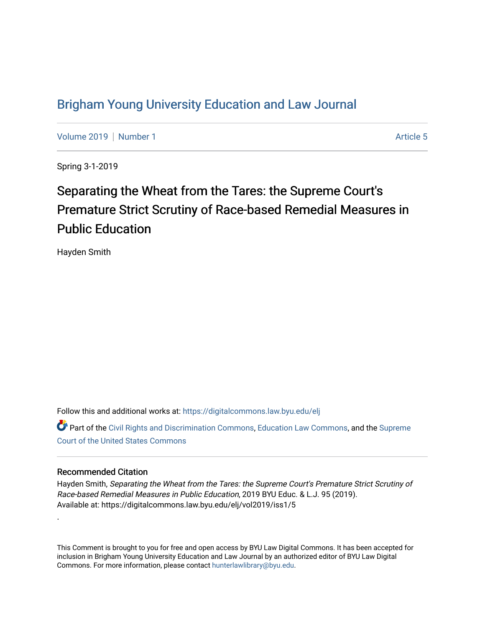## [Brigham Young University Education and Law Journal](https://digitalcommons.law.byu.edu/elj)

[Volume 2019](https://digitalcommons.law.byu.edu/elj/vol2019) | [Number 1](https://digitalcommons.law.byu.edu/elj/vol2019/iss1) Article 5

Spring 3-1-2019

# Separating the Wheat from the Tares: the Supreme Court's Premature Strict Scrutiny of Race-based Remedial Measures in Public Education

Hayden Smith

Follow this and additional works at: [https://digitalcommons.law.byu.edu/elj](https://digitalcommons.law.byu.edu/elj?utm_source=digitalcommons.law.byu.edu%2Felj%2Fvol2019%2Fiss1%2F5&utm_medium=PDF&utm_campaign=PDFCoverPages)

Part of the [Civil Rights and Discrimination Commons,](http://network.bepress.com/hgg/discipline/585?utm_source=digitalcommons.law.byu.edu%2Felj%2Fvol2019%2Fiss1%2F5&utm_medium=PDF&utm_campaign=PDFCoverPages) [Education Law Commons](http://network.bepress.com/hgg/discipline/596?utm_source=digitalcommons.law.byu.edu%2Felj%2Fvol2019%2Fiss1%2F5&utm_medium=PDF&utm_campaign=PDFCoverPages), and the [Supreme](http://network.bepress.com/hgg/discipline/1350?utm_source=digitalcommons.law.byu.edu%2Felj%2Fvol2019%2Fiss1%2F5&utm_medium=PDF&utm_campaign=PDFCoverPages)  [Court of the United States Commons](http://network.bepress.com/hgg/discipline/1350?utm_source=digitalcommons.law.byu.edu%2Felj%2Fvol2019%2Fiss1%2F5&utm_medium=PDF&utm_campaign=PDFCoverPages)

#### Recommended Citation

.

Hayden Smith, Separating the Wheat from the Tares: the Supreme Court's Premature Strict Scrutiny of Race-based Remedial Measures in Public Education, 2019 BYU Educ. & L.J. 95 (2019). Available at: https://digitalcommons.law.byu.edu/elj/vol2019/iss1/5

This Comment is brought to you for free and open access by BYU Law Digital Commons. It has been accepted for inclusion in Brigham Young University Education and Law Journal by an authorized editor of BYU Law Digital Commons. For more information, please contact [hunterlawlibrary@byu.edu](mailto:hunterlawlibrary@byu.edu).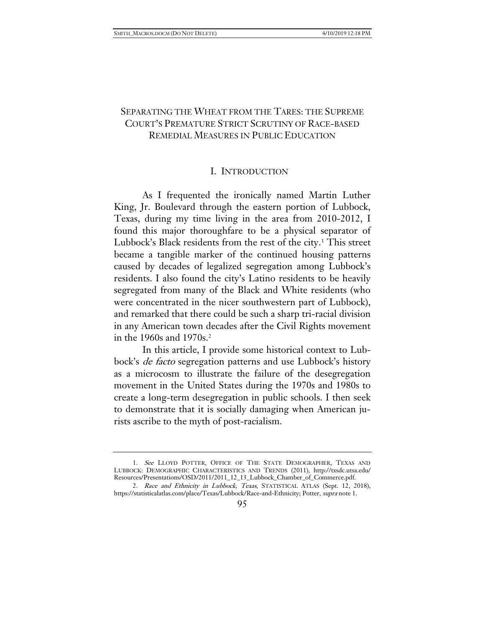## SEPARATING THE WHEAT FROM THE TARES: THE SUPREME COURT'S PREMATURE STRICT SCRUTINY OF RACE-BASED REMEDIAL MEASURES IN PUBLIC EDUCATION

#### I. INTRODUCTION

As I frequented the ironically named Martin Luther King, Jr. Boulevard through the eastern portion of Lubbock, Texas, during my time living in the area from 2010-2012, I found this major thoroughfare to be a physical separator of Lubbock's Black residents from the rest of the city. [1](#page-1-0) This street became a tangible marker of the continued housing patterns caused by decades of legalized segregation among Lubbock's residents. I also found the city's Latino residents to be heavily segregated from many of the Black and White residents (who were concentrated in the nicer southwestern part of Lubbock), and remarked that there could be such a sharp tri-racial division in any American town decades after the Civil Rights movement in the 1960s and 1970s[.2](#page-1-1)

In this article, I provide some historical context to Lubbock's de facto segregation patterns and use Lubbock's history as a microcosm to illustrate the failure of the desegregation movement in the United States during the 1970s and 1980s to create a long-term desegregation in public schools. I then seek to demonstrate that it is socially damaging when American jurists ascribe to the myth of post-racialism.

<span id="page-1-0"></span><sup>1.</sup> See LLOYD POTTER, OFFICE OF THE STATE DEMOGRAPHER, TEXAS AND LUBBOCK: DEMOGRAPHIC CHARACTERISTICS AND TRENDS (2011), http://txsdc.utsa.edu/ Resources/Presentations/OSD/2011/2011\_12\_13\_Lubbock\_Chamber\_of\_Commerce.pdf.

<span id="page-1-1"></span><sup>2.</sup> Race and Ethnicity in Lubbock, Texas, STATISTICAL ATLAS (Sept. 12, 2018), https://statisticalatlas.com/place/Texas/Lubbock/Race-and-Ethnicity; Potter, supra note 1.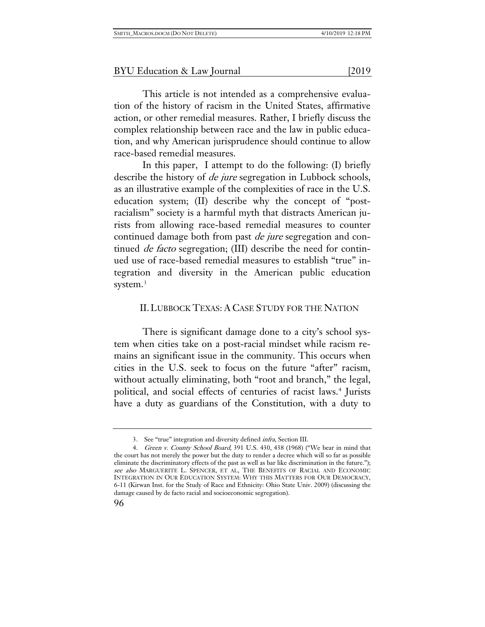This article is not intended as a comprehensive evaluation of the history of racism in the United States, affirmative action, or other remedial measures. Rather, I briefly discuss the complex relationship between race and the law in public education, and why American jurisprudence should continue to allow race-based remedial measures.

In this paper, I attempt to do the following: (I) briefly describe the history of *de jure* segregation in Lubbock schools, as an illustrative example of the complexities of race in the U.S. education system; (II) describe why the concept of "postracialism" society is a harmful myth that distracts American jurists from allowing race-based remedial measures to counter continued damage both from past *de jure* segregation and continued *de facto* segregation; (III) describe the need for continued use of race-based remedial measures to establish "true" integration and diversity in the American public education system.<sup>[3](#page-2-0)</sup>

## II.LUBBOCK TEXAS: A CASE STUDY FOR THE NATION

There is significant damage done to a city's school system when cities take on a post-racial mindset while racism remains an significant issue in the community. This occurs when cities in the U.S. seek to focus on the future "after" racism, without actually eliminating, both "root and branch," the legal, political, and social effects of centuries of racist laws.<sup>[4](#page-2-1)</sup> Jurists have a duty as guardians of the Constitution, with a duty to

<sup>3.</sup> See "true" integration and diversity defined infra, Section III.

<span id="page-2-1"></span><span id="page-2-0"></span><sup>4.</sup> Green v. County School Board, 391 U.S. 430, 438 (1968) ("We bear in mind that the court has not merely the power but the duty to render a decree which will so far as possible eliminate the discriminatory effects of the past as well as bar like discrimination in the future."); see also MARGUERITE L. SPENCER, ET AL, THE BENEFITS OF RACIAL AND ECONOMIC INTEGRATION IN OUR EDUCATION SYSTEM: WHY THIS MATTERS FOR OUR DEMOCRACY, 6-11 (Kirwan Inst. for the Study of Race and Ethnicity: Ohio State Univ. 2009) (discussing the damage caused by de facto racial and socioeconomic segregation).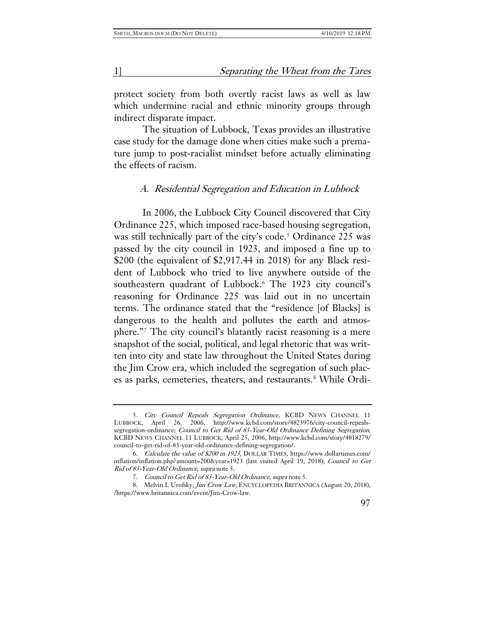protect society from both overtly racist laws as well as law which undermine racial and ethnic minority groups through indirect disparate impact.

The situation of Lubbock, Texas provides an illustrative case study for the damage done when cities make such a premature jump to post-racialist mindset before actually eliminating the effects of racism.

## A. Residential Segregation and Education in Lubbock

In 2006, the Lubbock City Council discovered that City Ordinance 225, which imposed race-based housing segregation, was still technically part of the city's code.<sup>[5](#page-3-0)</sup> Ordinance 225 was passed by the city council in 1923, and imposed a fine up to \$200 (the equivalent of \$2,917.44 in 2018) for any Black resident of Lubbock who tried to live anywhere outside of the southeastern quadrant of Lubbock.<sup>[6](#page-3-1)</sup> The 1923 city council's reasoning for Ordinance 225 was laid out in no uncertain terms. The ordinance stated that the "residence [of Blacks] is dangerous to the health and pollutes the earth and atmosphere."[7](#page-3-2) The city council's blatantly racist reasoning is a mere snapshot of the social, political, and legal rhetoric that was written into city and state law throughout the United States during the Jim Crow era, which included the segregation of such plac-es as parks, cemeteries, theaters, and restaurants.<sup>[8](#page-3-3)</sup> While Ordi-

<span id="page-3-0"></span><sup>5.</sup> City Council Repeals Segregation Ordinance, KCBD NEWS CHANNEL 11 LUBBOCK, April 26, 2006, http://www.kcbd.com/story/4823976/city-council-repealssegregation-ordinance; Council to Get Rid of 83-Year-Old Ordinance Defining Segregation, KCBD NEWS CHANNEL 11 LUBBOCK, April 25, 2006, http://www.kcbd.com/story/4818279/ council-to-get-rid-of-83-year-old-ordinance-defining-segregation/.

<span id="page-3-1"></span><sup>6.</sup> Calculate the value of \$200 in 1923, DOLLAR TIMES, https://www.dollartimes.com/ inflation/inflation.php?amount=200&year=1923 (last visited April 19, 2018); Council to Get Rid of 83-Year-Old Ordinance, supra note 5.

<sup>7.</sup> Council to Get Rid of 83-Year-Old Ordinance, supra note 5.

<span id="page-3-3"></span><span id="page-3-2"></span><sup>8.</sup> Melvin I. Urofsky, *Jim Crow Law*, ENCYCLOPEDIA BRITANNICA (August 20, 2018), [/https://www.britannica.com/event/Jim-Crow-law.](https://www.britannica.com/event/Jim-Crow-law)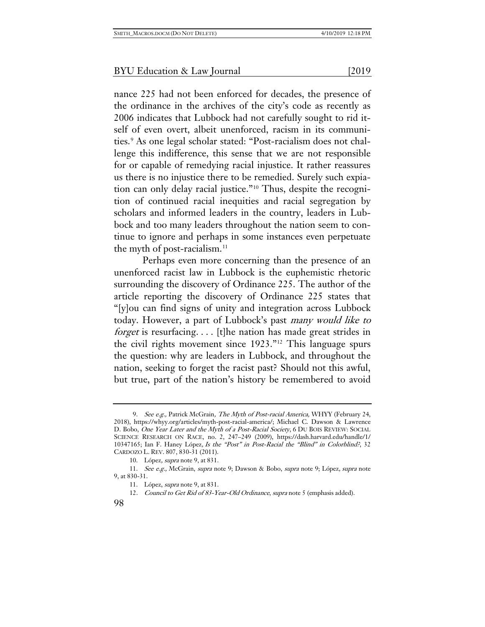nance 225 had not been enforced for decades, the presence of the ordinance in the archives of the city's code as recently as 2006 indicates that Lubbock had not carefully sought to rid itself of even overt, albeit unenforced, racism in its communi-ties.<sup>[9](#page-4-0)</sup> As one legal scholar stated: "Post-racialism does not challenge this indifference, this sense that we are not responsible for or capable of remedying racial injustice. It rather reassures us there is no injustice there to be remedied. Surely such expiation can only delay racial justice."[10](#page-4-1) Thus, despite the recognition of continued racial inequities and racial segregation by scholars and informed leaders in the country, leaders in Lubbock and too many leaders throughout the nation seem to continue to ignore and perhaps in some instances even perpetuate the myth of post-racialism.<sup>[11](#page-4-2)</sup>

Perhaps even more concerning than the presence of an unenforced racist law in Lubbock is the euphemistic rhetoric surrounding the discovery of Ordinance 225. The author of the article reporting the discovery of Ordinance 225 states that "[y]ou can find signs of unity and integration across Lubbock today. However, a part of Lubbock's past many would like to forget is resurfacing. . . . [t]he nation has made great strides in the civil rights movement since 1923."[12](#page-4-3) This language spurs the question: why are leaders in Lubbock, and throughout the nation, seeking to forget the racist past? Should not this awful, but true, part of the nation's history be remembered to avoid

<span id="page-4-0"></span><sup>9.</sup> See e.g., Patrick McGrain, The Myth of Post-racial America, WHYY (February 24, 2018), [https://whyy.org/articles/myth-post-racial-america/;](https://whyy.org/articles/myth-post-racial-america/) Michael C. Dawson & Lawrence D. Bobo, One Year Later and the Myth of a Post-Racial Society, 6 DU BOIS REVIEW: SOCIAL SCIENCE RESEARCH ON RACE, no. 2, 247–249 (2009), https://dash.harvard.edu/handle/1/ 10347165; Ian F. Haney López, Is the "Post" in Post-Racial the "Blind" in Colorblind?, 32 CARDOZO L. REV. 807, 830-31 (2011).

<sup>10.</sup> López, supra note 9, at 831.

<span id="page-4-3"></span><span id="page-4-2"></span><span id="page-4-1"></span><sup>11.</sup> See e.g., McGrain, supra note 9; Dawson & Bobo, supra note 9; López, supra note 9, at 830-31.

<sup>11.</sup> López, *supra* note 9, at 831.

<sup>12.</sup> Council to Get Rid of 83-Year-Old Ordinance, supra note 5 (emphasis added).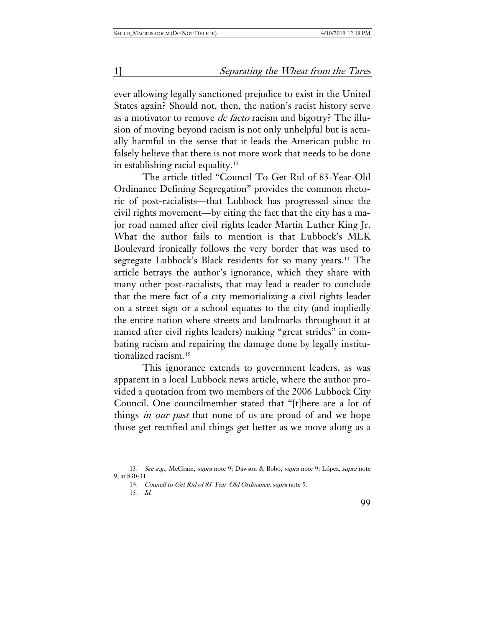ever allowing legally sanctioned prejudice to exist in the United States again? Should not, then, the nation's racist history serve as a motivator to remove de facto racism and bigotry? The illusion of moving beyond racism is not only unhelpful but is actually harmful in the sense that it leads the American public to falsely believe that there is not more work that needs to be done in establishing racial equality.<sup>[13](#page-5-0)</sup>

The article titled "Council To Get Rid of 83-Year-Old Ordinance Defining Segregation" provides the common rhetoric of post-racialists—that Lubbock has progressed since the civil rights movement—by citing the fact that the city has a major road named after civil rights leader Martin Luther King Jr. What the author fails to mention is that Lubbock's MLK Boulevard ironically follows the very border that was used to segregate Lubbock's Black residents for so many years.<sup>[14](#page-5-1)</sup> The article betrays the author's ignorance, which they share with many other post-racialists, that may lead a reader to conclude that the mere fact of a city memorializing a civil rights leader on a street sign or a school equates to the city (and impliedly the entire nation where streets and landmarks throughout it at named after civil rights leaders) making "great strides" in combating racism and repairing the damage done by legally institutionalized racism.[15](#page-5-2)

This ignorance extends to government leaders, as was apparent in a local Lubbock news article, where the author provided a quotation from two members of the 2006 Lubbock City Council. One councilmember stated that "[t]here are a lot of things *in our past* that none of us are proud of and we hope those get rectified and things get better as we move along as a

<span id="page-5-2"></span><span id="page-5-1"></span><span id="page-5-0"></span><sup>13.</sup> See e.g., McGrain, supra note 9; Dawson & Bobo, supra note 9; López, supra note 9, at 830-31.

<sup>14.</sup> Council to Get Rid of 83-Year-Old Ordinance, supra note 5.

<sup>15</sup>. Id.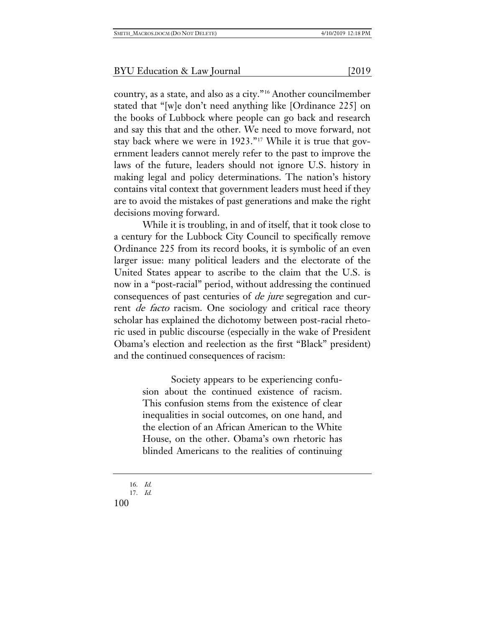country, as a state, and also as a city."[16](#page-6-0) Another councilmember stated that "[w]e don't need anything like [Ordinance 225] on the books of Lubbock where people can go back and research and say this that and the other. We need to move forward, not stay back where we were in 1923."[17](#page-6-1) While it is true that government leaders cannot merely refer to the past to improve the laws of the future, leaders should not ignore U.S. history in making legal and policy determinations. The nation's history contains vital context that government leaders must heed if they are to avoid the mistakes of past generations and make the right decisions moving forward.

While it is troubling, in and of itself, that it took close to a century for the Lubbock City Council to specifically remove Ordinance 225 from its record books, it is symbolic of an even larger issue: many political leaders and the electorate of the United States appear to ascribe to the claim that the U.S. is now in a "post-racial" period, without addressing the continued consequences of past centuries of de jure segregation and current *de facto* racism. One sociology and critical race theory scholar has explained the dichotomy between post-racial rhetoric used in public discourse (especially in the wake of President Obama's election and reelection as the first "Black" president) and the continued consequences of racism:

> Society appears to be experiencing confusion about the continued existence of racism. This confusion stems from the existence of clear inequalities in social outcomes, on one hand, and the election of an African American to the White House, on the other. Obama's own rhetoric has blinded Americans to the realities of continuing

<sup>16.</sup> Id.

<span id="page-6-1"></span><span id="page-6-0"></span><sup>17.</sup> Id.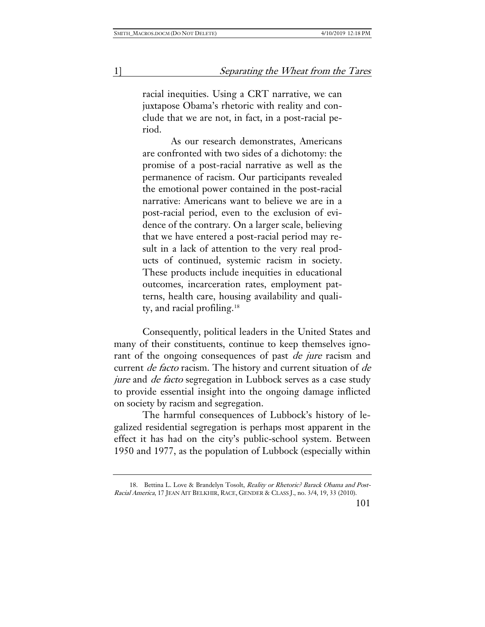racial inequities. Using a CRT narrative, we can juxtapose Obama's rhetoric with reality and conclude that we are not, in fact, in a post-racial period.

As our research demonstrates, Americans are confronted with two sides of a dichotomy: the promise of a post-racial narrative as well as the permanence of racism. Our participants revealed the emotional power contained in the post-racial narrative: Americans want to believe we are in a post-racial period, even to the exclusion of evidence of the contrary. On a larger scale, believing that we have entered a post-racial period may result in a lack of attention to the very real products of continued, systemic racism in society. These products include inequities in educational outcomes, incarceration rates, employment patterns, health care, housing availability and quality, and racial profiling.[18](#page-7-0)

Consequently, political leaders in the United States and many of their constituents, continue to keep themselves ignorant of the ongoing consequences of past *de jure* racism and current de facto racism. The history and current situation of de jure and *de facto* segregation in Lubbock serves as a case study to provide essential insight into the ongoing damage inflicted on society by racism and segregation.

The harmful consequences of Lubbock's history of legalized residential segregation is perhaps most apparent in the effect it has had on the city's public-school system. Between 1950 and 1977, as the population of Lubbock (especially within

<span id="page-7-0"></span><sup>18.</sup> Bettina L. Love & Brandelyn Tosolt, Reality or Rhetoric? Barack Obama and Post-Racial America, 17 JEAN AIT BELKHIR, RACE, GENDER & CLASS J., no. 3/4, 19, 33 (2010).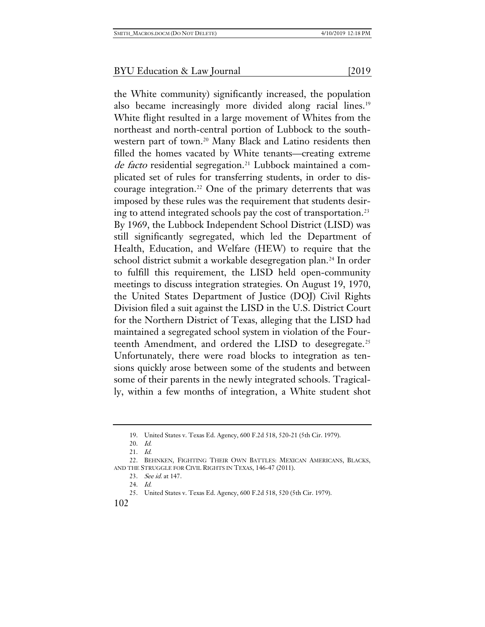the White community) significantly increased, the population also became increasingly more divided along racial lines.<sup>[19](#page-8-0)</sup> White flight resulted in a large movement of Whites from the northeast and north-central portion of Lubbock to the south-western part of town.<sup>[20](#page-8-1)</sup> Many Black and Latino residents then filled the homes vacated by White tenants—creating extreme de facto residential segregation.<sup>[21](#page-8-2)</sup> Lubbock maintained a complicated set of rules for transferring students, in order to dis-courage integration.<sup>[22](#page-8-3)</sup> One of the primary deterrents that was imposed by these rules was the requirement that students desiring to attend integrated schools pay the cost of transportation.[23](#page-8-4) By 1969, the Lubbock Independent School District (LISD) was still significantly segregated, which led the Department of Health, Education, and Welfare (HEW) to require that the school district submit a workable desegregation plan.<sup>[24](#page-8-5)</sup> In order to fulfill this requirement, the LISD held open-community meetings to discuss integration strategies. On August 19, 1970, the United States Department of Justice (DOJ) Civil Rights Division filed a suit against the LISD in the U.S. District Court for the Northern District of Texas, alleging that the LISD had maintained a segregated school system in violation of the Four-teenth Amendment, and ordered the LISD to desegregate.<sup>[25](#page-8-6)</sup> Unfortunately, there were road blocks to integration as tensions quickly arose between some of the students and between

some of their parents in the newly integrated schools. Tragically, within a few months of integration, a White student shot

<sup>19.</sup> United States v. Texas Ed. Agency, 600 F.2d 518, 520-21 (5th Cir. 1979).

<sup>20.</sup> Id.

<sup>21.</sup> Id.

<span id="page-8-6"></span><span id="page-8-5"></span><span id="page-8-4"></span><span id="page-8-3"></span><span id="page-8-2"></span><span id="page-8-1"></span><span id="page-8-0"></span><sup>22.</sup> BEHNKEN, FIGHTING THEIR OWN BATTLES: MEXICAN AMERICANS, BLACKS, AND THE STRUGGLE FOR CIVIL RIGHTS IN TEXAS, 146-47 (2011).

<sup>23.</sup> See id. at 147.

<sup>24.</sup> Id.

<sup>25.</sup> United States v. Texas Ed. Agency, 600 F.2d 518, 520 (5th Cir. 1979).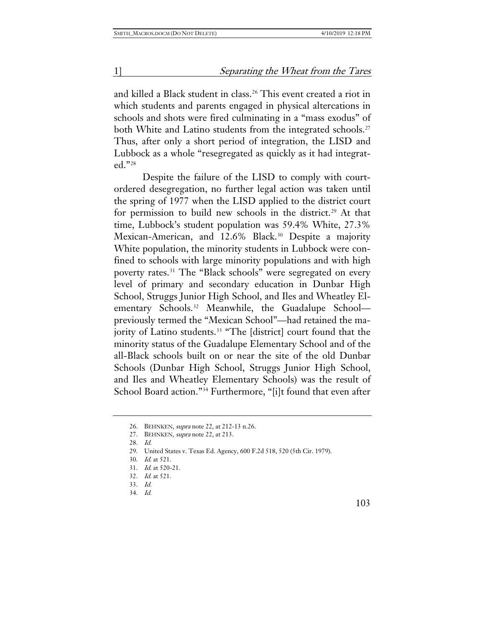and killed a Black student in class.<sup>[26](#page-9-0)</sup> This event created a riot in which students and parents engaged in physical altercations in schools and shots were fired culminating in a "mass exodus" of both White and Latino students from the integrated schools.<sup>[27](#page-9-1)</sup> Thus, after only a short period of integration, the LISD and Lubbock as a whole "resegregated as quickly as it had integrated."[28](#page-9-2)

Despite the failure of the LISD to comply with courtordered desegregation, no further legal action was taken until the spring of 1977 when the LISD applied to the district court for permission to build new schools in the district.<sup>[29](#page-9-3)</sup> At that time, Lubbock's student population was 59.4% White, 27.3% Mexican-American, and 12.6% Black.<sup>[30](#page-9-4)</sup> Despite a majority White population, the minority students in Lubbock were confined to schools with large minority populations and with high poverty rates.<sup>[31](#page-9-5)</sup> The "Black schools" were segregated on every level of primary and secondary education in Dunbar High School, Struggs Junior High School, and Iles and Wheatley El-ementary Schools.<sup>[32](#page-9-6)</sup> Meanwhile, the Guadalupe Schoolpreviously termed the "Mexican School"—had retained the ma-jority of Latino students.<sup>[33](#page-9-7)</sup> "The [district] court found that the minority status of the Guadalupe Elementary School and of the all-Black schools built on or near the site of the old Dunbar Schools (Dunbar High School, Struggs Junior High School, and Iles and Wheatley Elementary Schools) was the result of School Board action."[34](#page-9-8) Furthermore, "[i]t found that even after

<span id="page-9-0"></span><sup>26.</sup> BEHNKEN, supra note 22, at 212-13 n.26.

<sup>27.</sup> BEHNKEN, *supra* note 22, at 213.

<span id="page-9-3"></span><span id="page-9-2"></span><span id="page-9-1"></span><sup>28.</sup> Id.

<sup>29.</sup> United States v. Texas Ed. Agency, 600 F.2d 518, 520 (5th Cir. 1979).

<span id="page-9-5"></span><span id="page-9-4"></span><sup>30.</sup> Id. at 521.

<sup>31.</sup> Id. at 520-21.

<span id="page-9-6"></span><sup>32.</sup> Id. at 521.

<span id="page-9-8"></span><span id="page-9-7"></span><sup>33.</sup> Id.

<sup>34.</sup> Id.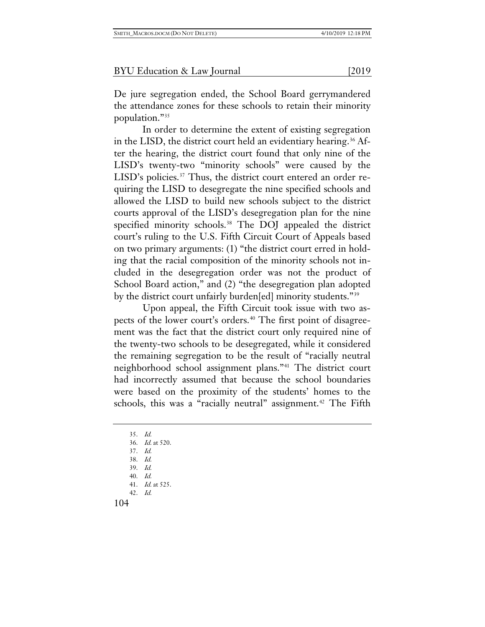De jure segregation ended, the School Board gerrymandered the attendance zones for these schools to retain their minority population."[35](#page-10-0)

In order to determine the extent of existing segregation in the LISD, the district court held an evidentiary hearing.<sup>[36](#page-10-1)</sup> After the hearing, the district court found that only nine of the LISD's twenty-two "minority schools" were caused by the LISD's policies.<sup>[37](#page-10-2)</sup> Thus, the district court entered an order requiring the LISD to desegregate the nine specified schools and allowed the LISD to build new schools subject to the district courts approval of the LISD's desegregation plan for the nine specified minority schools.<sup>[38](#page-10-3)</sup> The DOJ appealed the district court's ruling to the U.S. Fifth Circuit Court of Appeals based on two primary arguments: (1) "the district court erred in holding that the racial composition of the minority schools not included in the desegregation order was not the product of School Board action," and (2) "the desegregation plan adopted by the district court unfairly burden[ed] minority students."<sup>[39](#page-10-4)</sup>

Upon appeal, the Fifth Circuit took issue with two as-pects of the lower court's orders.<sup>[40](#page-10-5)</sup> The first point of disagreement was the fact that the district court only required nine of the twenty-two schools to be desegregated, while it considered the remaining segregation to be the result of "racially neutral neighborhood school assignment plans."[41](#page-10-6) The district court had incorrectly assumed that because the school boundaries were based on the proximity of the students' homes to the schools, this was a "racially neutral" assignment.<sup>[42](#page-10-7)</sup> The Fifth

<span id="page-10-7"></span><span id="page-10-6"></span><span id="page-10-5"></span><span id="page-10-4"></span><span id="page-10-3"></span><span id="page-10-2"></span><span id="page-10-1"></span><span id="page-10-0"></span>35. Id. 36. Id. at 520. 37. Id. 38. Id. 39. Id. 40. Id. 41. Id. at 525. 42. Id.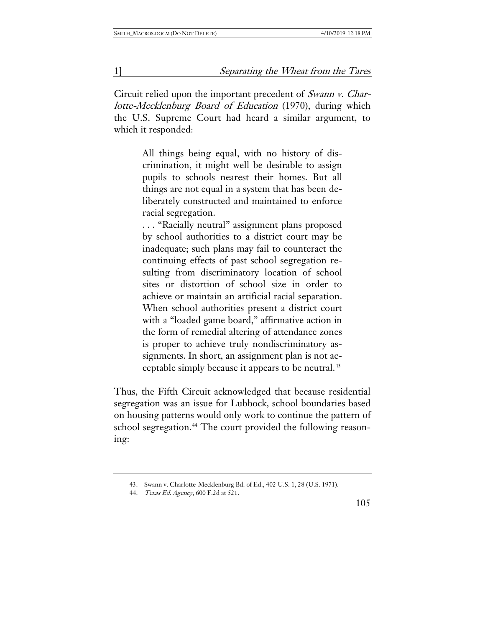Circuit relied upon the important precedent of Swann v. Charlotte-Mecklenburg Board of Education (1970), during which the U.S. Supreme Court had heard a similar argument, to which it responded:

> All things being equal, with no history of discrimination, it might well be desirable to assign pupils to schools nearest their homes. But all things are not equal in a system that has been deliberately constructed and maintained to enforce racial segregation.

> . . . "Racially neutral" assignment plans proposed by school authorities to a district court may be inadequate; such plans may fail to counteract the continuing effects of past school segregation resulting from discriminatory location of school sites or distortion of school size in order to achieve or maintain an artificial racial separation. When school authorities present a district court with a "loaded game board," affirmative action in the form of remedial altering of attendance zones is proper to achieve truly nondiscriminatory assignments. In short, an assignment plan is not ac-ceptable simply because it appears to be neutral.<sup>[43](#page-11-0)</sup>

Thus, the Fifth Circuit acknowledged that because residential segregation was an issue for Lubbock, school boundaries based on housing patterns would only work to continue the pattern of school segregation.<sup>[44](#page-11-1)</sup> The court provided the following reasoning:

<span id="page-11-0"></span><sup>43.</sup> Swann v. Charlotte-Mecklenburg Bd. of Ed., 402 U.S. 1, 28 (U.S. 1971).

<span id="page-11-1"></span><sup>44.</sup> Texas Ed. Agency, 600 F.2d at 521.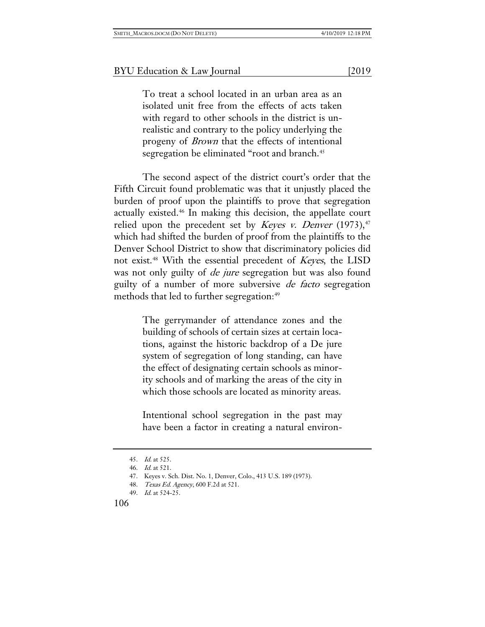To treat a school located in an urban area as an isolated unit free from the effects of acts taken with regard to other schools in the district is unrealistic and contrary to the policy underlying the progeny of Brown that the effects of intentional segregation be eliminated "root and branch.<sup>[45](#page-12-0)</sup>

The second aspect of the district court's order that the Fifth Circuit found problematic was that it unjustly placed the burden of proof upon the plaintiffs to prove that segregation actually existed.[46](#page-12-1) In making this decision, the appellate court relied upon the precedent set by *Keyes v. Denver* (1973),<sup>[47](#page-12-2)</sup> which had shifted the burden of proof from the plaintiffs to the Denver School District to show that discriminatory policies did not exist.<sup>[48](#page-12-3)</sup> With the essential precedent of *Keyes*, the LISD was not only guilty of *de jure* segregation but was also found guilty of a number of more subversive de facto segregation methods that led to further segregation:<sup>[49](#page-12-4)</sup>

> The gerrymander of attendance zones and the building of schools of certain sizes at certain locations, against the historic backdrop of a De jure system of segregation of long standing, can have the effect of designating certain schools as minority schools and of marking the areas of the city in which those schools are located as minority areas.

> Intentional school segregation in the past may have been a factor in creating a natural environ-

<span id="page-12-0"></span><sup>45.</sup> Id. at 525.

<span id="page-12-2"></span><span id="page-12-1"></span><sup>46.</sup> Id. at 521.

<sup>47.</sup> Keyes v. Sch. Dist. No. 1, Denver, Colo., 413 U.S. 189 (1973).

<span id="page-12-3"></span><sup>48.</sup> Texas Ed. Agency, 600 F.2d at 521.

<span id="page-12-4"></span><sup>49.</sup> Id. at 524-25.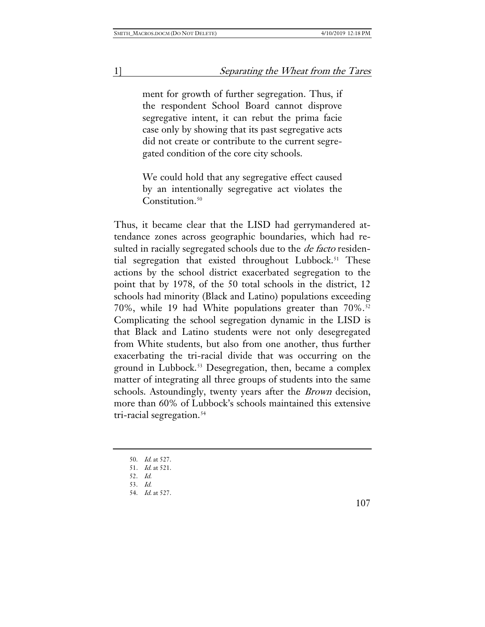ment for growth of further segregation. Thus, if the respondent School Board cannot disprove segregative intent, it can rebut the prima facie case only by showing that its past segregative acts did not create or contribute to the current segregated condition of the core city schools.

We could hold that any segregative effect caused by an intentionally segregative act violates the Constitution.<sup>[50](#page-13-0)</sup>

Thus, it became clear that the LISD had gerrymandered attendance zones across geographic boundaries, which had resulted in racially segregated schools due to the *de facto* residential segregation that existed throughout Lubbock.<sup>51</sup> These actions by the school district exacerbated segregation to the point that by 1978, of the 50 total schools in the district, 12 schools had minority (Black and Latino) populations exceeding 70%, while 19 had White populations greater than  $70\%$ .<sup>[52](#page-13-2)</sup> Complicating the school segregation dynamic in the LISD is that Black and Latino students were not only desegregated from White students, but also from one another, thus further exacerbating the tri-racial divide that was occurring on the ground in Lubbock.[53](#page-13-3) Desegregation, then, became a complex matter of integrating all three groups of students into the same schools. Astoundingly, twenty years after the Brown decision, more than 60% of Lubbock's schools maintained this extensive tri-racial segregation.<sup>[54](#page-13-4)</sup>

107

<sup>50.</sup> Id. at 527.

<span id="page-13-2"></span><span id="page-13-1"></span><span id="page-13-0"></span><sup>51</sup>. Id. at 521.

<sup>52.</sup> Id.

<span id="page-13-3"></span><sup>53.</sup> Id.

<span id="page-13-4"></span><sup>54.</sup> Id. at 527.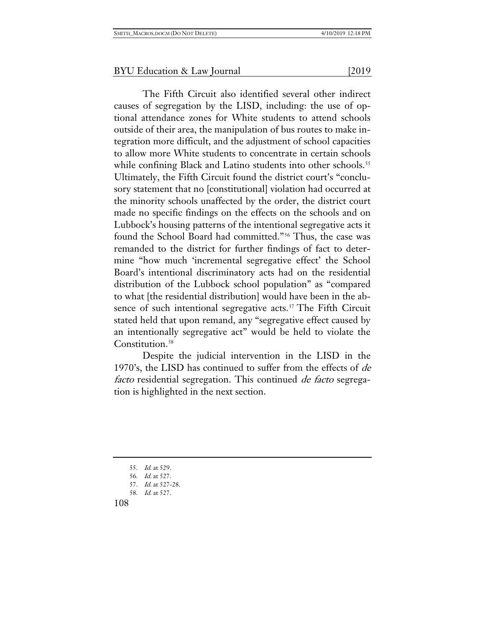The Fifth Circuit also identified several other indirect causes of segregation by the LISD, including: the use of optional attendance zones for White students to attend schools outside of their area, the manipulation of bus routes to make integration more difficult, and the adjustment of school capacities to allow more White students to concentrate in certain schools while confining Black and Latino students into other schools.<sup>[55](#page-14-0)</sup> Ultimately, the Fifth Circuit found the district court's "conclusory statement that no [constitutional] violation had occurred at the minority schools unaffected by the order, the district court made no specific findings on the effects on the schools and on Lubbock's housing patterns of the intentional segregative acts it found the School Board had committed."[56](#page-14-1) Thus, the case was remanded to the district for further findings of fact to determine "how much 'incremental segregative effect' the School Board's intentional discriminatory acts had on the residential distribution of the Lubbock school population" as "compared to what [the residential distribution] would have been in the ab-sence of such intentional segregative acts.<sup>[57](#page-14-2)</sup> The Fifth Circuit stated held that upon remand, any "segregative effect caused by an intentionally segregative act" would be held to violate the Constitution.<sup>[58](#page-14-3)</sup>

Despite the judicial intervention in the LISD in the 1970's, the LISD has continued to suffer from the effects of de facto residential segregation. This continued de facto segregation is highlighted in the next section.

<sup>55.</sup> Id. at 529.

<span id="page-14-2"></span><span id="page-14-1"></span><span id="page-14-0"></span><sup>56.</sup> Id. at 527.

<sup>57.</sup> Id. at 527-28.

<span id="page-14-3"></span><sup>58.</sup> Id. at 527.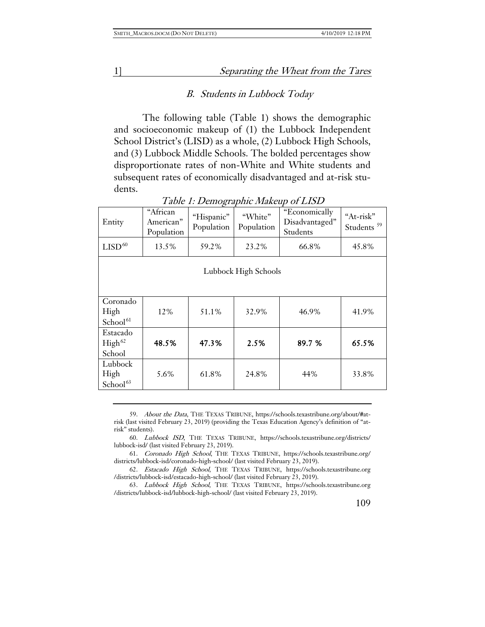#### B. Students in Lubbock Today

The following table (Table 1) shows the demographic and socioeconomic makeup of (1) the Lubbock Independent School District's (LISD) as a whole, (2) Lubbock High Schools, and (3) Lubbock Middle Schools. The bolded percentages show disproportionate rates of non-White and White students and subsequent rates of economically disadvantaged and at-risk students.

| Entity                                   | "African<br>American"<br>Population | "Hispanic"<br>Population | "White"<br>Population | "Economically<br>Disadvantaged"<br>Students | "At-risk"<br>Students <sup>59</sup> |  |  |
|------------------------------------------|-------------------------------------|--------------------------|-----------------------|---------------------------------------------|-------------------------------------|--|--|
| $\mathrm{LISD}^{60}$                     | 13.5%                               | 59.2%                    | 23.2%                 | 66.8%                                       | 45.8%                               |  |  |
| Lubbock High Schools                     |                                     |                          |                       |                                             |                                     |  |  |
| Coronado<br>High<br>School <sup>61</sup> | 12%                                 | 51.1%                    | 32.9%                 | 46.9%                                       | 41.9%                               |  |  |
| Estacado<br>High <sup>62</sup><br>School | 48.5%                               | 47.3%                    | 2.5%                  | 89.7 %                                      | 65.5%                               |  |  |
| Lubbock<br>High<br>School <sup>63</sup>  | 5.6%                                | 61.8%                    | 24.8%                 | 44%                                         | 33.8%                               |  |  |

#### Table 1: Demographic Makeup of LISD

59. About the Data, THE TEXAS TRIBUNE, [https://schools.texastribune.org/about/#at](https://schools.texastribune.org/about/#at-risk)[risk](https://schools.texastribune.org/about/#at-risk) (last visited February 23, 2019) (providing the Texas Education Agency's definition of "atrisk" students).

<span id="page-15-1"></span><span id="page-15-0"></span>60. Lubbock ISD, THE TEXAS TRIBUNE, [https://schools.texastribune.org/districts/](https://schools.texastribune.org/districts/lubbock-isd/) [lubbock-isd/](https://schools.texastribune.org/districts/lubbock-isd/) (last visited February 23, 2019).

<span id="page-15-2"></span>61. Coronado High School, THE TEXAS TRIBUNE, https://schools.texastribune.org/ districts/lubbock-isd/coronado-high-school/ (last visited February 23, 2019).

<span id="page-15-3"></span>62. Estacado High School, THE TEXAS TRIBUNE, [https://schools.texastribune.org](https://schools.texastribune.org/districts/lubbock-isd/estacado-high-school/) [/districts/lubbock-isd/estacado-high-school/](https://schools.texastribune.org/districts/lubbock-isd/estacado-high-school/) (last visited February 23, 2019).

<span id="page-15-4"></span>63. Lubbock High School, THE TEXAS TRIBUNE, https://schools.texastribune.org /districts/lubbock-isd/lubbock-high-school/ (last visited February 23, 2019).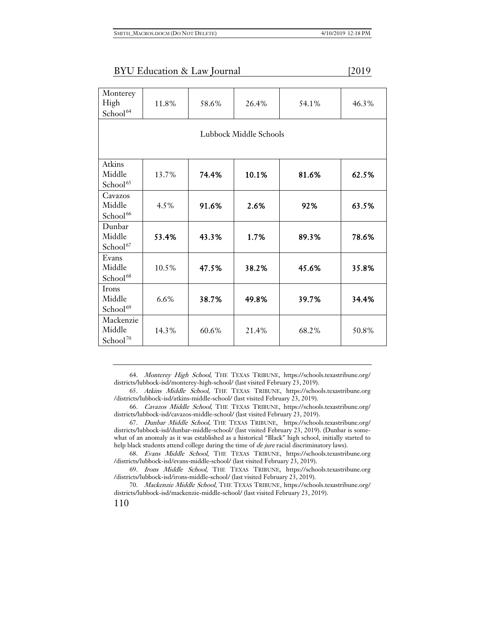| Monterey<br>High<br>School <sup>64</sup>    | 11.8% | 58.6% | 26.4% | 54.1% | 46.3% |  |  |  |
|---------------------------------------------|-------|-------|-------|-------|-------|--|--|--|
| Lubbock Middle Schools                      |       |       |       |       |       |  |  |  |
| Atkins<br>Middle<br>School <sup>65</sup>    | 13.7% | 74.4% | 10.1% | 81.6% | 62.5% |  |  |  |
| Cavazos<br>Middle<br>School <sup>66</sup>   | 4.5%  | 91.6% | 2.6%  | 92%   | 63.5% |  |  |  |
| Dunbar<br>Middle<br>School <sup>67</sup>    | 53.4% | 43.3% | 1.7%  | 89.3% | 78.6% |  |  |  |
| Evans<br>Middle<br>School <sup>68</sup>     | 10.5% | 47.5% | 38.2% | 45.6% | 35.8% |  |  |  |
| Irons<br>Middle<br>School <sup>69</sup>     | 6.6%  | 38.7% | 49.8% | 39.7% | 34.4% |  |  |  |
| Mackenzie<br>Middle<br>School <sup>70</sup> | 14.3% | 60.6% | 21.4% | 68.2% | 50.8% |  |  |  |

<span id="page-16-0"></span>64. Monterey High School, THE TEXAS TRIBUNE, [https://schools.texastribune.org/](https://schools.texastribune.org/districts/lubbock-isd/monterey-high-school/) [districts/lubbock-isd/monterey-high-school/](https://schools.texastribune.org/districts/lubbock-isd/monterey-high-school/) (last visited February 23, 2019).

<span id="page-16-1"></span>65. Atkins Middle School, THE TEXAS TRIBUNE, [https://schools.texastribune.org](https://schools.texastribune.org/districts/lubbock-isd/atkins-middle-school/) [/districts/lubbock-isd/atkins-middle-school/](https://schools.texastribune.org/districts/lubbock-isd/atkins-middle-school/) (last visited February 23, 2019).

<span id="page-16-2"></span>66. Cavazos Middle School, THE TEXAS TRIBUNE, [https://schools.texastribune.org/](https://schools.texastribune.org/districts/lubbock-isd/cavazos-middle-school/) [districts/lubbock-isd/cavazos-middle-school/](https://schools.texastribune.org/districts/lubbock-isd/cavazos-middle-school/) (last visited February 23, 2019).

<span id="page-16-3"></span>67. Dunbar Middle School, THE TEXAS TRIBUNE, [https://schools.texastribune.org/](https://schools.texastribune.org/districts/lubbock-isd/dunbar-middle-school/) [districts/lubbock-isd/dunbar-middle-school/](https://schools.texastribune.org/districts/lubbock-isd/dunbar-middle-school/) (last visited February 23, 2019). (Dunbar is somewhat of an anomaly as it was established as a historical "Black" high school, initially started to help black students attend college during the time of *de jure* racial discriminatory laws).

<span id="page-16-4"></span>68. Evans Middle School, THE TEXAS TRIBUNE, [https://schools.texastribune.org](https://schools.texastribune.org/districts/lubbock-isd/evans-middle-school/) [/districts/lubbock-isd/evans-middle-school/](https://schools.texastribune.org/districts/lubbock-isd/evans-middle-school/) (last visited February 23, 2019).

<span id="page-16-5"></span>69. Irons Middle School, THE TEXAS TRIBUNE, [https://schools.texastribune.org](https://schools.texastribune.org/districts/lubbock-isd/irons-middle-school/) [/districts/lubbock-isd/irons-middle-school/](https://schools.texastribune.org/districts/lubbock-isd/irons-middle-school/) (last visited February 23, 2019).

<span id="page-16-6"></span>70. Mackenzie Middle School, THE TEXAS TRIBUNE, https://schools.texastribune.org/ districts/lubbock-isd/mackenzie-middle-school/ (last visited February 23, 2019).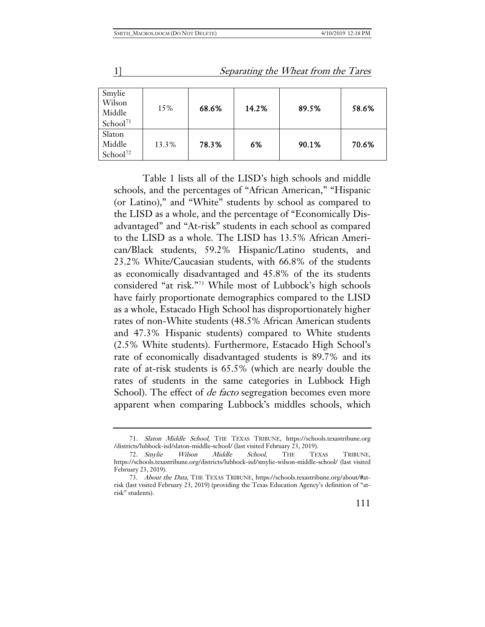| Smylie<br>Wilson<br>Middle<br>School <sup>71</sup> | 15%   | 68.6% | 14.2% | 89.5% | 58.6% |
|----------------------------------------------------|-------|-------|-------|-------|-------|
| Slaton<br>Middle<br>School <sup>72</sup>           | 13.3% | 78.3% | 6%    | 90.1% | 70.6% |

Table 1 lists all of the LISD's high schools and middle schools, and the percentages of "African American," "Hispanic (or Latino)," and "White" students by school as compared to the LISD as a whole, and the percentage of "Economically Disadvantaged" and "At-risk" students in each school as compared to the LISD as a whole. The LISD has 13.5% African American/Black students, 59.2% Hispanic/Latino students, and 23.2% White/Caucasian students, with 66.8% of the students as economically disadvantaged and 45.8% of the its students considered "at risk."[73](#page-17-2) While most of Lubbock's high schools have fairly proportionate demographics compared to the LISD as a whole, Estacado High School has disproportionately higher rates of non-White students (48.5% African American students and 47.3% Hispanic students) compared to White students (2.5% White students). Furthermore, Estacado High School's rate of economically disadvantaged students is 89.7% and its rate of at-risk students is 65.5% (which are nearly double the rates of students in the same categories in Lubbock High School). The effect of *de facto* segregation becomes even more apparent when comparing Lubbock's middles schools, which

<span id="page-17-0"></span><sup>71.</sup> Slaton Middle School, THE TEXAS TRIBUNE, [https://schools.texastribune.org](https://schools.texastribune.org/districts/lubbock-isd/slaton-middle-school/) [/districts/lubbock-isd/slaton-middle-school/](https://schools.texastribune.org/districts/lubbock-isd/slaton-middle-school/) (last visited February 23, 2019).

<span id="page-17-1"></span><sup>72.</sup> Smylie Wilson Middle School, THE TEXAS TRIBUNE, https://schools.texastribune.org/districts/lubbock-isd/smylie-wilson-middle-school/ (last visited February 23, 2019).

<span id="page-17-2"></span><sup>73.</sup> About the Data, THE TEXAS TRIBUNE, [https://schools.texastribune.org/about/#at](https://schools.texastribune.org/about/#at-risk)[risk](https://schools.texastribune.org/about/#at-risk) (last visited February 23, 2019) (providing the Texas Education Agency's definition of "atrisk" students).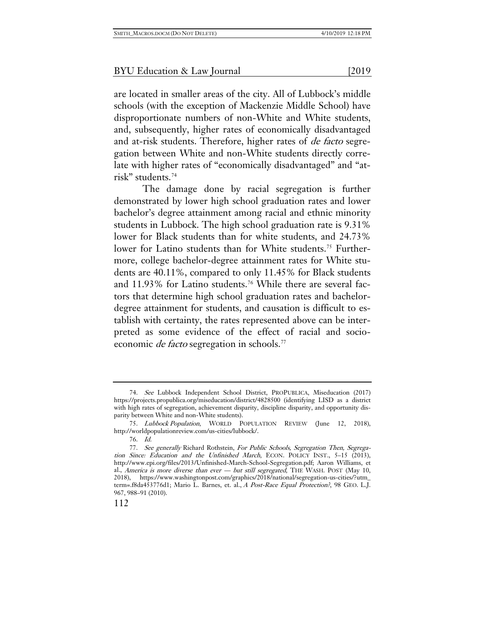are located in smaller areas of the city. All of Lubbock's middle schools (with the exception of Mackenzie Middle School) have disproportionate numbers of non-White and White students, and, subsequently, higher rates of economically disadvantaged and at-risk students. Therefore, higher rates of de facto segregation between White and non-White students directly correlate with higher rates of "economically disadvantaged" and "atrisk" students.[74](#page-18-0)

The damage done by racial segregation is further demonstrated by lower high school graduation rates and lower bachelor's degree attainment among racial and ethnic minority students in Lubbock. The high school graduation rate is 9.31% lower for Black students than for white students, and 24.73% lower for Latino students than for White students.<sup>[75](#page-18-1)</sup> Furthermore, college bachelor-degree attainment rates for White students are 40.11%, compared to only 11.45% for Black students and 11.93% for Latino students.<sup>[76](#page-18-2)</sup> While there are several factors that determine high school graduation rates and bachelordegree attainment for students, and causation is difficult to establish with certainty, the rates represented above can be interpreted as some evidence of the effect of racial and socioeconomic *de facto* segregation in schools.<sup>[77](#page-18-3)</sup>

<span id="page-18-0"></span><sup>74.</sup> See Lubbock Independent School District, PROPUBLICA, Miseducation (2017) https://projects.propublica.org/miseducation/district/4828500 (identifying LISD as a district with high rates of segregation, achievement disparity, discipline disparity, and opportunity disparity between White and non-White students).

<span id="page-18-1"></span><sup>75.</sup> Lubbock Population, WORLD POPULATION REVIEW (June 12, 2018), http://worldpopulationreview.com/us-cities/lubbock/.

<sup>76.</sup> Id.

<span id="page-18-3"></span><span id="page-18-2"></span><sup>77.</sup> See generally Richard Rothstein, For Public Schools, Segregation Then, Segregation Since: Education and the Unfinished March, ECON. POLICY INST., 5–15 (2013), http://www.epi.org/files/2013/Unfinished-March-School-Segregation.pdf; Aaron Williams, et al., America is more diverse than ever - but still segregated, THE WASH. POST (May 10, 2018), https://www.washingtonpost.com/graphics/2018/national/segregation-us-cities/?utm\_ term=.f8da453776d1; Mario L. Barnes, et. al., A Post-Race Equal Protection?, 98 GEO. L.J. 967, 988–91 (2010).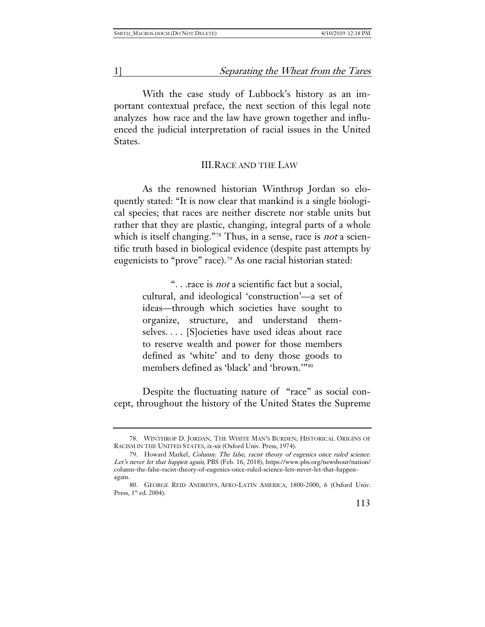With the case study of Lubbock's history as an important contextual preface, the next section of this legal note analyzes how race and the law have grown together and influenced the judicial interpretation of racial issues in the United States.

#### III.RACE AND THE LAW

As the renowned historian Winthrop Jordan so eloquently stated: "It is now clear that mankind is a single biological species; that races are neither discrete nor stable units but rather that they are plastic, changing, integral parts of a whole which is itself changing."<sup>[78](#page-19-0)</sup> Thus, in a sense, race is *not* a scientific truth based in biological evidence (despite past attempts by eugenicists to "prove" race).<sup>[79](#page-19-1)</sup> As one racial historian stated:

> "... race is *not* a scientific fact but a social, cultural, and ideological 'construction'—a set of ideas—through which societies have sought to organize, structure, and understand themselves. . . . [S]ocieties have used ideas about race to reserve wealth and power for those members defined as 'white' and to deny those goods to members defined as 'black' and 'brown.'"[80](#page-19-2)

Despite the fluctuating nature of "race" as social concept, throughout the history of the United States the Supreme

<span id="page-19-0"></span><sup>78.</sup> WINTHROP D. JORDAN, THE WHITE MAN'S BURDEN; HISTORICAL ORIGINS OF RACISM IN THE UNITED STATES, ix-xii (Oxford Univ. Press, 1974).

<span id="page-19-1"></span><sup>79.</sup> Howard Markel, Column: The false, racist theory of eugenics once ruled science. Let's never let that happen again, PBS (Feb. 16, 2018), https://www.pbs.org/newshour/nation/ column-the-false-racist-theory-of-eugenics-once-ruled-science-lets-never-let-that-happenagain.

<span id="page-19-2"></span><sup>80.</sup> GEORGE REID ANDREWS, AFRO-LATIN AMERICA, 1800-2000, 6 (Oxford Univ. Press, 1<sup>st</sup> ed. 2004).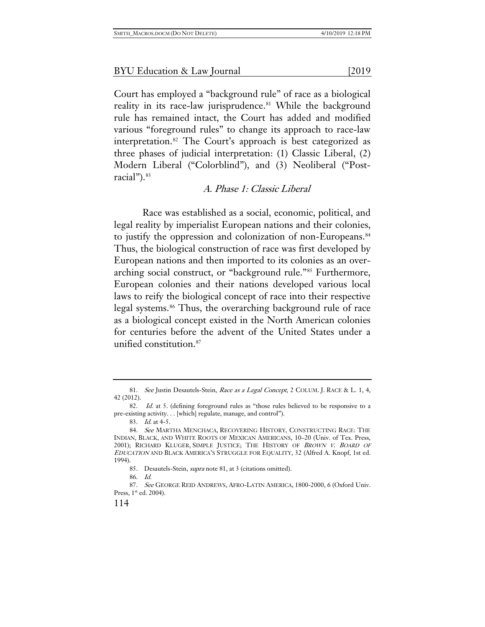Court has employed a "background rule" of race as a biological reality in its race-law jurisprudence.<sup>[81](#page-20-0)</sup> While the background rule has remained intact, the Court has added and modified various "foreground rules" to change its approach to race-law interpretation.[82](#page-20-1) The Court's approach is best categorized as three phases of judicial interpretation: (1) Classic Liberal, (2) Modern Liberal ("Colorblind"), and (3) Neoliberal ("Post-racial").<sup>[83](#page-20-2)</sup>

#### A. Phase 1: Classic Liberal

Race was established as a social, economic, political, and legal reality by imperialist European nations and their colonies, to justify the oppression and colonization of non-Europeans.<sup>[84](#page-20-3)</sup> Thus, the biological construction of race was first developed by European nations and then imported to its colonies as an overarching social construct, or "background rule."[85](#page-20-4) Furthermore, European colonies and their nations developed various local laws to reify the biological concept of race into their respective legal systems.<sup>[86](#page-20-5)</sup> Thus, the overarching background rule of race as a biological concept existed in the North American colonies for centuries before the advent of the United States under a unified constitution.[87](#page-20-6)

<span id="page-20-0"></span><sup>81.</sup> See Justin Desautels-Stein, Race as a Legal Concept, 2 COLUM. J. RACE & L. 1, 4, 42 (2012).

<span id="page-20-1"></span><sup>82.</sup> Id. at 5. (defining foreground rules as "those rules believed to be responsive to a pre-existing activity. . . [which] regulate, manage, and control").

<sup>83.</sup> Id. at 4-5.

<span id="page-20-3"></span><span id="page-20-2"></span><sup>84.</sup> See MARTHA MENCHACA, RECOVERING HISTORY, CONSTRUCTING RACE: THE INDIAN, BLACK, AND WHITE ROOTS OF MEXICAN AMERICANS, 10–20 (Univ. of Tex. Press, 2001); RICHARD KLUGER, SIMPLE JUSTICE; THE HISTORY OF BROWN V. BOARD OF EDUCATION AND BLACK AMERICA'S STRUGGLE FOR EQUALITY, 32 (Alfred A. Knopf, 1st ed. 1994).

<sup>85.</sup> Desautels-Stein, supra note 81, at 3 (citations omitted).

<sup>86.</sup> Id.

<span id="page-20-6"></span><span id="page-20-5"></span><span id="page-20-4"></span><sup>87.</sup> See GEORGE REID ANDREWS, AFRO-LATIN AMERICA, 1800-2000, 6 (Oxford Univ. Press, 1<sup>st</sup> ed. 2004).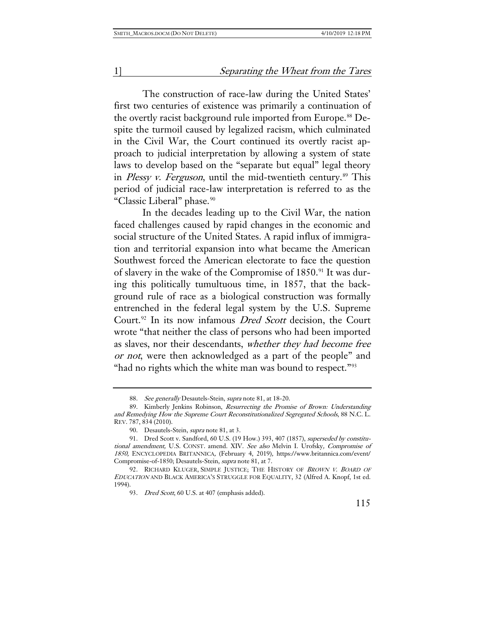The construction of race-law during the United States' first two centuries of existence was primarily a continuation of the overtly racist background rule imported from Europe.<sup>[88](#page-21-0)</sup> Despite the turmoil caused by legalized racism, which culminated in the Civil War, the Court continued its overtly racist approach to judicial interpretation by allowing a system of state laws to develop based on the "separate but equal" legal theory in Plessy v. Ferguson, until the mid-twentieth century.<sup>[89](#page-21-1)</sup> This period of judicial race-law interpretation is referred to as the "Classic Liberal" phase.<sup>90</sup>

In the decades leading up to the Civil War, the nation faced challenges caused by rapid changes in the economic and social structure of the United States. A rapid influx of immigration and territorial expansion into what became the American Southwest forced the American electorate to face the question of slavery in the wake of the Compromise of 1850.[91](#page-21-3) It was during this politically tumultuous time, in 1857, that the background rule of race as a biological construction was formally entrenched in the federal legal system by the U.S. Supreme Court.<sup>[92](#page-21-4)</sup> In its now infamous *Dred Scott* decision, the Court wrote "that neither the class of persons who had been imported as slaves, nor their descendants, whether they had become free or not, were then acknowledged as a part of the people" and "had no rights which the white man was bound to respect."<sup>[93](#page-21-5)</sup>

<sup>88.</sup> See generally Desautels-Stein, supra note 81, at 18-20.

<span id="page-21-1"></span><span id="page-21-0"></span><sup>89.</sup> Kimberly Jenkins Robinson, Resurrecting the Promise of Brown: Understanding and Remedying How the Supreme Court Reconstitutionalized Segregated Schools, 88 N.C. L. REV. 787, 834 (2010).

<sup>90.</sup> Desautels-Stein, *supra* note 81, at 3.

<span id="page-21-3"></span><span id="page-21-2"></span><sup>91.</sup> Dred Scott v. Sandford, 60 U.S. (19 How.) 393, 407 (1857), superseded by constitutional amendment, U.S. CONST. amend. XIV. See also Melvin I. Urofsky, Compromise of 1850, ENCYCLOPEDIA BRITANNICA, (February 4, 2019), https://www.britannica.com/event/ Compromise-of-1850; Desautels-Stein, supra note 81, at 7.

<span id="page-21-5"></span><span id="page-21-4"></span><sup>92.</sup> RICHARD KLUGER, SIMPLE JUSTICE; THE HISTORY OF BROWN V. BOARD OF EDUCATION AND BLACK AMERICA'S STRUGGLE FOR EQUALITY, 32 (Alfred A. Knopf, 1st ed. 1994).

<sup>93.</sup> Dred Scott, 60 U.S. at 407 (emphasis added).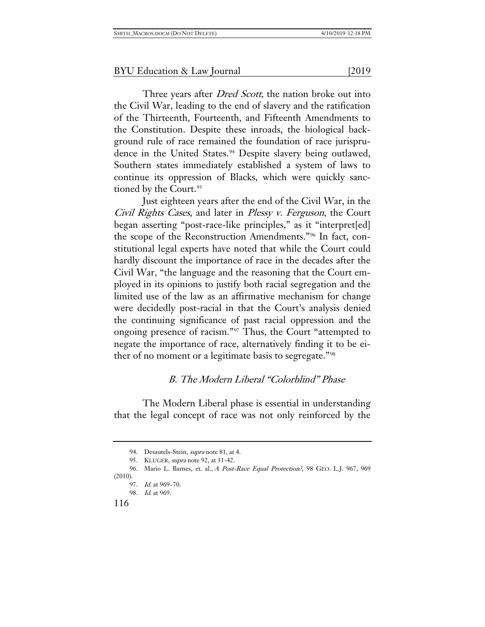Three years after *Dred Scott*, the nation broke out into the Civil War, leading to the end of slavery and the ratification of the Thirteenth, Fourteenth, and Fifteenth Amendments to the Constitution. Despite these inroads, the biological background rule of race remained the foundation of race jurispru-dence in the United States.<sup>[94](#page-22-0)</sup> Despite slavery being outlawed, Southern states immediately established a system of laws to continue its oppression of Blacks, which were quickly sanc-tioned by the Court.<sup>[95](#page-22-1)</sup>

Just eighteen years after the end of the Civil War, in the Civil Rights Cases, and later in Plessy v. Ferguson, the Court began asserting "post-race-like principles," as it "interpret[ed] the scope of the Reconstruction Amendments."[96](#page-22-2) In fact, constitutional legal experts have noted that while the Court could hardly discount the importance of race in the decades after the Civil War, "the language and the reasoning that the Court employed in its opinions to justify both racial segregation and the limited use of the law as an affirmative mechanism for change were decidedly post-racial in that the Court's analysis denied the continuing significance of past racial oppression and the ongoing presence of racism."[97](#page-22-3) Thus, the Court "attempted to negate the importance of race, alternatively finding it to be either of no moment or a legitimate basis to segregate."[98](#page-22-4)

## B. The Modern Liberal "Colorblind" Phase

The Modern Liberal phase is essential in understanding that the legal concept of race was not only reinforced by the

<sup>94.</sup> Desautels-Stein, *supra* note 81, at 4.

<sup>95.</sup> KLUGER, *supra* note 92, at 31-42.

<span id="page-22-4"></span><span id="page-22-3"></span><span id="page-22-2"></span><span id="page-22-1"></span><span id="page-22-0"></span><sup>96.</sup> Mario L. Barnes, et. al., A Post-Race Equal Protection?, 98 GEO. L.J. 967, 969 (2010).

<sup>97.</sup> Id. at 969–70.

<sup>98.</sup> Id. at 969.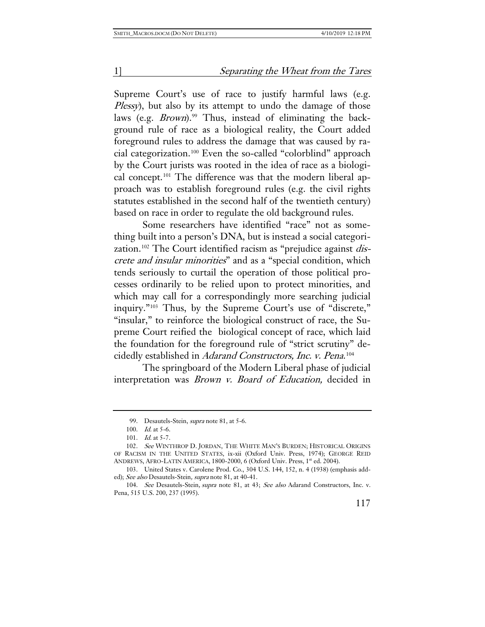Supreme Court's use of race to justify harmful laws (e.g. Plessy), but also by its attempt to undo the damage of those laws (e.g. *Brown*).<sup>99</sup> Thus, instead of eliminating the background rule of race as a biological reality, the Court added foreground rules to address the damage that was caused by racial categorization.[100](#page-23-1) Even the so-called "colorblind" approach by the Court jurists was rooted in the idea of race as a biologi-cal concept.<sup>[101](#page-23-2)</sup> The difference was that the modern liberal approach was to establish foreground rules (e.g. the civil rights statutes established in the second half of the twentieth century) based on race in order to regulate the old background rules.

Some researchers have identified "race" not as something built into a person's DNA, but is instead a social categori-zation.<sup>[102](#page-23-3)</sup> The Court identified racism as "prejudice against *dis*crete and insular minorities" and as a "special condition, which tends seriously to curtail the operation of those political processes ordinarily to be relied upon to protect minorities, and which may call for a correspondingly more searching judicial inquiry."[103](#page-23-4) Thus, by the Supreme Court's use of "discrete," "insular," to reinforce the biological construct of race, the Supreme Court reified the biological concept of race, which laid the foundation for the foreground rule of "strict scrutiny" de-cidedly established in Adarand Constructors, Inc. v. Pena.<sup>[104](#page-23-5)</sup>

The springboard of the Modern Liberal phase of judicial interpretation was *Brown v. Board of Education*, decided in

<sup>99.</sup> Desautels-Stein, *supra* note 81, at 5-6.

<sup>100.</sup> *Id.* at 5-6.

<sup>101.</sup> *Id.* at 5-7.

<span id="page-23-3"></span><span id="page-23-2"></span><span id="page-23-1"></span><span id="page-23-0"></span><sup>102.</sup> See WINTHROP D. JORDAN, THE WHITE MAN'S BURDEN; HISTORICAL ORIGINS OF RACISM IN THE UNITED STATES, ix-xii (Oxford Univ. Press, 1974); GEORGE REID ANDREWS, AFRO-LATIN AMERICA, 1800-2000, 6 (Oxford Univ. Press, 1st ed. 2004).

<span id="page-23-4"></span><sup>103.</sup> United States v. Carolene Prod. Co., 304 U.S. 144, 152, n. 4 (1938) (emphasis added); See also Desautels-Stein, supra note 81, at 40-41.

<span id="page-23-5"></span><sup>104.</sup> See Desautels-Stein, supra note 81, at 43; See also Adarand Constructors, Inc. v. Pena, 515 U.S. 200, 237 (1995).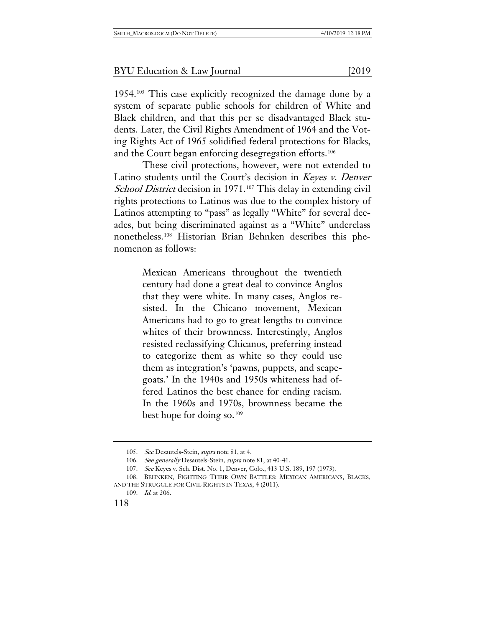1954.[105](#page-24-0) This case explicitly recognized the damage done by a system of separate public schools for children of White and Black children, and that this per se disadvantaged Black students. Later, the Civil Rights Amendment of 1964 and the Voting Rights Act of 1965 solidified federal protections for Blacks, and the Court began enforcing desegregation efforts.<sup>[106](#page-24-1)</sup>

These civil protections, however, were not extended to Latino students until the Court's decision in Keyes v. Denver School District decision in 1971.<sup>[107](#page-24-2)</sup> This delay in extending civil rights protections to Latinos was due to the complex history of Latinos attempting to "pass" as legally "White" for several decades, but being discriminated against as a "White" underclass nonetheless.[108](#page-24-3) Historian Brian Behnken describes this phenomenon as follows:

> Mexican Americans throughout the twentieth century had done a great deal to convince Anglos that they were white. In many cases, Anglos resisted. In the Chicano movement, Mexican Americans had to go to great lengths to convince whites of their brownness. Interestingly, Anglos resisted reclassifying Chicanos, preferring instead to categorize them as white so they could use them as integration's 'pawns, puppets, and scapegoats.' In the 1940s and 1950s whiteness had offered Latinos the best chance for ending racism. In the 1960s and 1970s, brownness became the best hope for doing so.[109](#page-24-4)

<sup>105.</sup> See Desautels-Stein, supra note 81, at 4.

<sup>106.</sup> See generally Desautels-Stein, supra note 81, at 40-41.

<sup>107.</sup> See Keyes v. Sch. Dist. No. 1, Denver, Colo., 413 U.S. 189, 197 (1973).

<sup>108.</sup> BEHNKEN, FIGHTING THEIR OWN BATTLES: MEXICAN AMERICANS, BLACKS,

<span id="page-24-4"></span><span id="page-24-3"></span><span id="page-24-2"></span><span id="page-24-1"></span><span id="page-24-0"></span>AND THE STRUGGLE FOR CIVIL RIGHTS IN TEXAS, 4 (2011).

<sup>109.</sup> Id. at 206.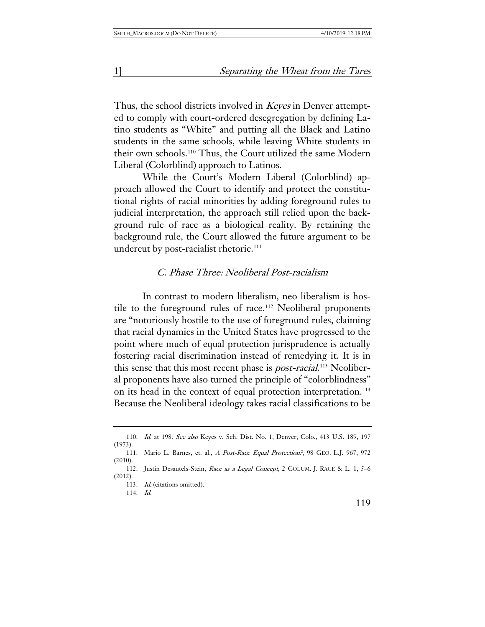Thus, the school districts involved in *Keyes* in Denver attempted to comply with court-ordered desegregation by defining Latino students as "White" and putting all the Black and Latino students in the same schools, while leaving White students in their own schools.[110](#page-25-0) Thus, the Court utilized the same Modern Liberal (Colorblind) approach to Latinos.

While the Court's Modern Liberal (Colorblind) approach allowed the Court to identify and protect the constitutional rights of racial minorities by adding foreground rules to judicial interpretation, the approach still relied upon the background rule of race as a biological reality. By retaining the background rule, the Court allowed the future argument to be undercut by post-racialist rhetoric.<sup>[111](#page-25-1)</sup>

#### C. Phase Three: Neoliberal Post-racialism

In contrast to modern liberalism, neo liberalism is hos-tile to the foreground rules of race.<sup>[112](#page-25-2)</sup> Neoliberal proponents are "notoriously hostile to the use of foreground rules, claiming that racial dynamics in the United States have progressed to the point where much of equal protection jurisprudence is actually fostering racial discrimination instead of remedying it. It is in this sense that this most recent phase is *post-racial*.<sup>[113](#page-25-3)</sup> Neoliberal proponents have also turned the principle of "colorblindness" on its head in the context of equal protection interpretation.<sup>[114](#page-25-4)</sup> Because the Neoliberal ideology takes racial classifications to be

<span id="page-25-0"></span><sup>110.</sup> Id. at 198. See also Keyes v. Sch. Dist. No. 1, Denver, Colo., 413 U.S. 189, 197 (1973).

<span id="page-25-1"></span><sup>111.</sup> Mario L. Barnes, et. al., A Post-Race Equal Protection?, 98 GEO. L.J. 967, 972 (2010).

<span id="page-25-4"></span><span id="page-25-3"></span><span id="page-25-2"></span><sup>112.</sup> Justin Desautels-Stein, Race as a Legal Concept, 2 COLUM. J. RACE & L. 1, 5–6 (2012).

<sup>113.</sup> Id. (citations omitted).

<sup>114.</sup> Id.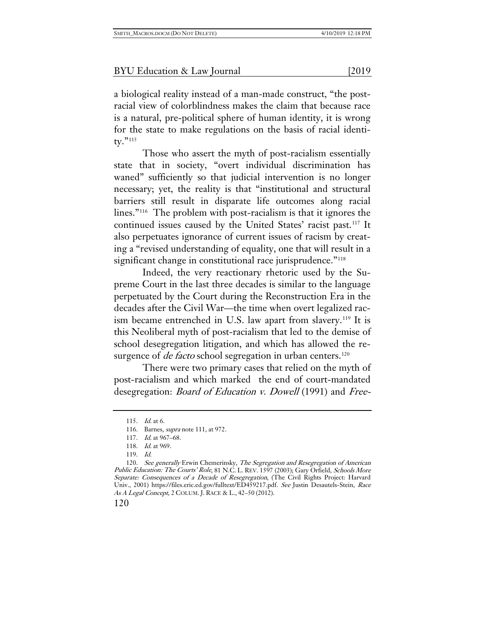a biological reality instead of a man-made construct, "the postracial view of colorblindness makes the claim that because race is a natural, pre-political sphere of human identity, it is wrong for the state to make regulations on the basis of racial identi-ty."[115](#page-26-0)

Those who assert the myth of post-racialism essentially state that in society, "overt individual discrimination has waned" sufficiently so that judicial intervention is no longer necessary; yet, the reality is that "institutional and structural barriers still result in disparate life outcomes along racial lines."[116](#page-26-1) The problem with post-racialism is that it ignores the continued issues caused by the United States' racist past.[117](#page-26-2) It also perpetuates ignorance of current issues of racism by creating a "revised understanding of equality, one that will result in a significant change in constitutional race jurisprudence."<sup>[118](#page-26-3)</sup>

Indeed, the very reactionary rhetoric used by the Supreme Court in the last three decades is similar to the language perpetuated by the Court during the Reconstruction Era in the decades after the Civil War—the time when overt legalized rac-ism became entrenched in U.S. law apart from slavery.<sup>[119](#page-26-4)</sup> It is this Neoliberal myth of post-racialism that led to the demise of school desegregation litigation, and which has allowed the resurgence of *de facto* school segregation in urban centers.<sup>[120](#page-26-5)</sup>

There were two primary cases that relied on the myth of post-racialism and which marked the end of court-mandated desegregation: *Board of Education v. Dowell* (1991) and *Free-*

120

<sup>115.</sup> Id. at 6.

<sup>116.</sup> Barnes, supra note 111, at 972.

<sup>117.</sup> *Id.* at 967–68.

<sup>118.</sup> Id. at 969.

<sup>119.</sup> Id.

<span id="page-26-5"></span><span id="page-26-4"></span><span id="page-26-3"></span><span id="page-26-2"></span><span id="page-26-1"></span><span id="page-26-0"></span><sup>120.</sup> See generally Erwin Chemerinsky, The Segregation and Resegregation of American Public Education: The Courts' Role, 81 N.C. L. REV. 1597 (2003); Gary Orfield, Schools More Separate: Consequences of a Decade of Resegregation, (The Civil Rights Project: Harvard Univ., 2001) https://files.eric.ed.gov/fulltext/ED459217.pdf. See Justin Desautels-Stein, Race As A Legal Concept, 2 COLUM. J. RACE & L., 42–50 (2012).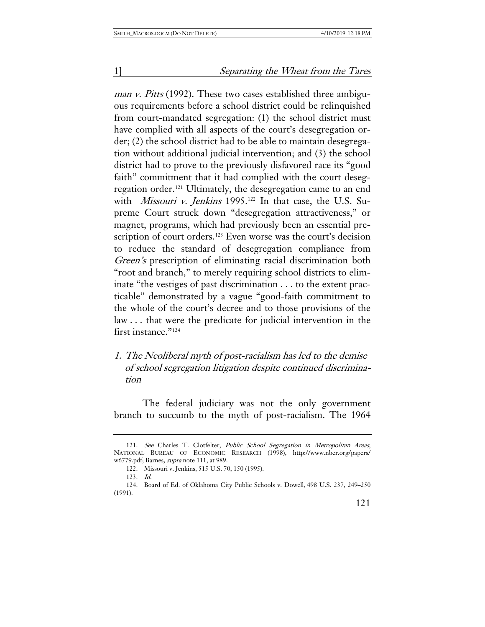man v. Pitts (1992). These two cases established three ambiguous requirements before a school district could be relinquished from court-mandated segregation: (1) the school district must have complied with all aspects of the court's desegregation order; (2) the school district had to be able to maintain desegregation without additional judicial intervention; and (3) the school district had to prove to the previously disfavored race its "good faith" commitment that it had complied with the court desegregation order.[121](#page-27-0) Ultimately, the desegregation came to an end with Missouri v. Jenkins 1995.<sup>[122](#page-27-1)</sup> In that case, the U.S. Supreme Court struck down "desegregation attractiveness," or magnet, programs, which had previously been an essential pre-scription of court orders.<sup>[123](#page-27-2)</sup> Even worse was the court's decision to reduce the standard of desegregation compliance from Green's prescription of eliminating racial discrimination both "root and branch," to merely requiring school districts to eliminate "the vestiges of past discrimination . . . to the extent practicable" demonstrated by a vague "good-faith commitment to the whole of the court's decree and to those provisions of the law . . . that were the predicate for judicial intervention in the first instance."[124](#page-27-3)

## 1. The Neoliberal myth of post-racialism has led to the demise of school segregation litigation despite continued discrimination

The federal judiciary was not the only government branch to succumb to the myth of post-racialism. The 1964

<span id="page-27-0"></span><sup>121.</sup> See Charles T. Clotfelter, Public School Segregation in Metropolitan Areas, NATIONAL BUREAU OF ECONOMIC RESEARCH (1998), http://www.nber.org/papers/ w6779.pdf; Barnes, *supra* note 111, at 989.

<sup>122.</sup> Missouri v. Jenkins, 515 U.S. 70, 150 (1995).

<sup>123.</sup> Id.

<span id="page-27-3"></span><span id="page-27-2"></span><span id="page-27-1"></span><sup>124.</sup> Board of Ed. of Oklahoma City Public Schools v. Dowell, 498 U.S. 237, 249–250 (1991).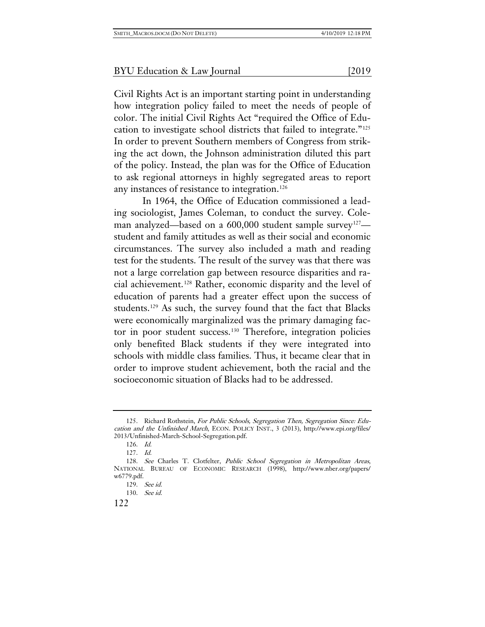Civil Rights Act is an important starting point in understanding how integration policy failed to meet the needs of people of color. The initial Civil Rights Act "required the Office of Education to investigate school districts that failed to integrate."[125](#page-28-0) In order to prevent Southern members of Congress from striking the act down, the Johnson administration diluted this part of the policy. Instead, the plan was for the Office of Education to ask regional attorneys in highly segregated areas to report any instances of resistance to integration.<sup>[126](#page-28-1)</sup>

In 1964, the Office of Education commissioned a leading sociologist, James Coleman, to conduct the survey. Cole-man analyzed—based on a 600,000 student sample survey<sup>[127](#page-28-2)</sup> student and family attitudes as well as their social and economic circumstances. The survey also included a math and reading test for the students. The result of the survey was that there was not a large correlation gap between resource disparities and racial achievement.[128](#page-28-3) Rather, economic disparity and the level of education of parents had a greater effect upon the success of students.[129](#page-28-4) As such, the survey found that the fact that Blacks were economically marginalized was the primary damaging fac-tor in poor student success.<sup>[130](#page-28-5)</sup> Therefore, integration policies only benefited Black students if they were integrated into schools with middle class families. Thus, it became clear that in order to improve student achievement, both the racial and the socioeconomic situation of Blacks had to be addressed.

<span id="page-28-0"></span><sup>125.</sup> Richard Rothstein, For Public Schools, Segregation Then, Segregation Since: Education and the Unfinished March, ECON. POLICY INST., 3 (2013), http://www.epi.org/files/ 2013/Unfinished-March-School-Segregation.pdf.

<sup>126.</sup> Id.

<sup>127.</sup> Id.

<span id="page-28-5"></span><span id="page-28-4"></span><span id="page-28-3"></span><span id="page-28-2"></span><span id="page-28-1"></span><sup>128.</sup> See Charles T. Clotfelter, Public School Segregation in Metropolitan Areas, NATIONAL BUREAU OF ECONOMIC RESEARCH (1998), http://www.nber.org/papers/ w6779.pdf.

<sup>129.</sup> See id.

<sup>130.</sup> See id.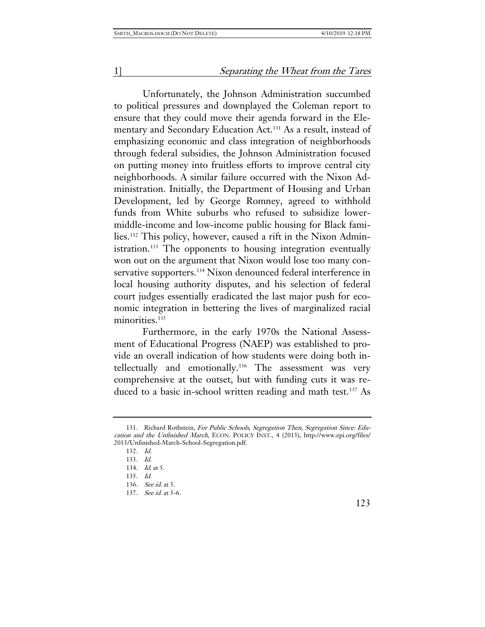Unfortunately, the Johnson Administration succumbed to political pressures and downplayed the Coleman report to ensure that they could move their agenda forward in the Ele-mentary and Secondary Education Act.<sup>[131](#page-29-0)</sup> As a result, instead of emphasizing economic and class integration of neighborhoods through federal subsidies, the Johnson Administration focused on putting money into fruitless efforts to improve central city neighborhoods. A similar failure occurred with the Nixon Administration. Initially, the Department of Housing and Urban Development, led by George Romney, agreed to withhold funds from White suburbs who refused to subsidize lowermiddle-income and low-income public housing for Black families.[132](#page-29-1) This policy, however, caused a rift in the Nixon Admin-istration.<sup>[133](#page-29-2)</sup> The opponents to housing integration eventually won out on the argument that Nixon would lose too many con-servative supporters.<sup>[134](#page-29-3)</sup> Nixon denounced federal interference in local housing authority disputes, and his selection of federal court judges essentially eradicated the last major push for economic integration in bettering the lives of marginalized racial minorities.<sup>[135](#page-29-4)</sup>

Furthermore, in the early 1970s the National Assessment of Educational Progress (NAEP) was established to provide an overall indication of how students were doing both intellectually and emotionally.[136](#page-29-5) The assessment was very comprehensive at the outset, but with funding cuts it was re-duced to a basic in-school written reading and math test.<sup>[137](#page-29-6)</sup> As

132. Id.

<span id="page-29-4"></span><span id="page-29-3"></span><span id="page-29-2"></span><span id="page-29-1"></span><span id="page-29-0"></span><sup>131.</sup> Richard Rothstein, For Public Schools, Segregation Then, Segregation Since: Education and the Unfinished March, ECON. POLICY INST., 4 (2013), http://www.epi.org/files/ 2013/Unfinished-March-School-Segregation.pdf.

<sup>133.</sup> Id.

<sup>134.</sup> Id. at 5.

<sup>135.</sup> Id.

<span id="page-29-5"></span><sup>136.</sup> See id. at 5.

<span id="page-29-6"></span><sup>137.</sup> See id. at 5-6.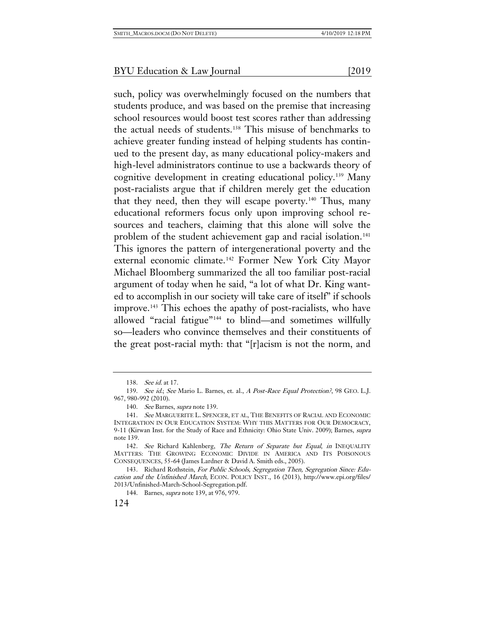such, policy was overwhelmingly focused on the numbers that students produce, and was based on the premise that increasing school resources would boost test scores rather than addressing the actual needs of students.[138](#page-30-0) This misuse of benchmarks to achieve greater funding instead of helping students has continued to the present day, as many educational policy-makers and high-level administrators continue to use a backwards theory of cognitive development in creating educational policy.[139](#page-30-1) Many post-racialists argue that if children merely get the education that they need, then they will escape poverty.<sup>[140](#page-30-2)</sup> Thus, many educational reformers focus only upon improving school resources and teachers, claiming that this alone will solve the problem of the student achievement gap and racial isolation.<sup>[141](#page-30-3)</sup> This ignores the pattern of intergenerational poverty and the external economic climate.[142](#page-30-4) Former New York City Mayor Michael Bloomberg summarized the all too familiar post-racial argument of today when he said, "a lot of what Dr. King wanted to accomplish in our society will take care of itself" if schools improve.[143](#page-30-5) This echoes the apathy of post-racialists, who have allowed "racial fatigue"[144](#page-30-6) to blind—and sometimes willfully so—leaders who convince themselves and their constituents of the great post-racial myth: that "[r]acism is not the norm, and

<sup>138.</sup> See id. at 17.

<span id="page-30-1"></span><span id="page-30-0"></span><sup>139.</sup> See id.; See Mario L. Barnes, et. al., A Post-Race Equal Protection?, 98 GEO. L.J. 967, 980-992 (2010).

<sup>140.</sup> See Barnes, supra note 139.

<span id="page-30-3"></span><span id="page-30-2"></span><sup>141.</sup> See MARGUERITE L. SPENCER, ET AL, THE BENEFITS OF RACIAL AND ECONOMIC INTEGRATION IN OUR EDUCATION SYSTEM: WHY THIS MATTERS FOR OUR DEMOCRACY, 9-11 (Kirwan Inst. for the Study of Race and Ethnicity: Ohio State Univ. 2009); Barnes, supra note 139.

<span id="page-30-4"></span><sup>142.</sup> See Richard Kahlenberg, The Return of Separate but Equal, in INEQUALITY MATTERS: THE GROWING ECONOMIC DIVIDE IN AMERICA AND ITS POISONOUS CONSEQUENCES, 55-64 (James Lardner & David A. Smith eds., 2005).

<span id="page-30-6"></span><span id="page-30-5"></span><sup>143.</sup> Richard Rothstein, For Public Schools, Segregation Then, Segregation Since: Education and the Unfinished March, ECON. POLICY INST., 16 (2013), http://www.epi.org/files/ 2013/Unfinished-March-School-Segregation.pdf.

<sup>144.</sup> Barnes, supra note 139, at 976, 979.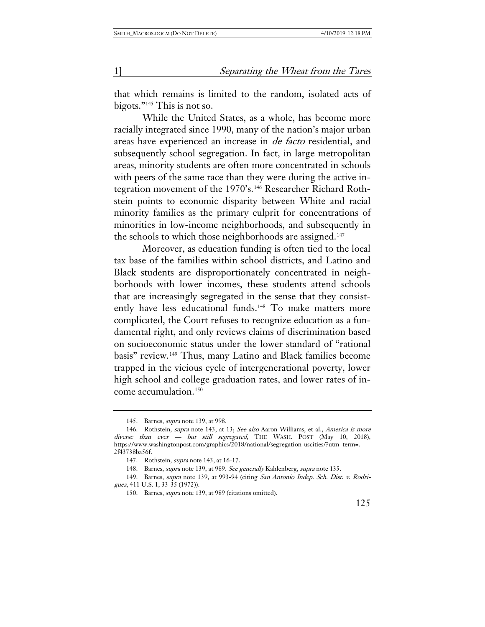that which remains is limited to the random, isolated acts of bigots."[145](#page-31-0) This is not so.

While the United States, as a whole, has become more racially integrated since 1990, many of the nation's major urban areas have experienced an increase in de facto residential, and subsequently school segregation. In fact, in large metropolitan areas, minority students are often more concentrated in schools with peers of the same race than they were during the active integration movement of the 1970's.[146](#page-31-1) Researcher Richard Rothstein points to economic disparity between White and racial minority families as the primary culprit for concentrations of minorities in low-income neighborhoods, and subsequently in the schools to which those neighborhoods are assigned.<sup>[147](#page-31-2)</sup>

Moreover, as education funding is often tied to the local tax base of the families within school districts, and Latino and Black students are disproportionately concentrated in neighborhoods with lower incomes, these students attend schools that are increasingly segregated in the sense that they consist-ently have less educational funds.<sup>[148](#page-31-3)</sup> To make matters more complicated, the Court refuses to recognize education as a fundamental right, and only reviews claims of discrimination based on socioeconomic status under the lower standard of "rational basis" review.[149](#page-31-4) Thus, many Latino and Black families become trapped in the vicious cycle of intergenerational poverty, lower high school and college graduation rates, and lower rates of income accumulation.[150](#page-31-5)

<sup>145.</sup> Barnes, supra note 139, at 998.

<span id="page-31-1"></span><span id="page-31-0"></span><sup>146.</sup> Rothstein, supra note 143, at 13; See also Aaron Williams, et al., America is more diverse than ever — but still segregated, THE WASH. POST (May 10, 2018), https://www.washingtonpost.com/graphics/2018/national/segregation-uscities/?utm\_term=. 2f43738ba56f.

<sup>147.</sup> Rothstein, supra note 143, at 16-17.

<sup>148.</sup> Barnes, supra note 139, at 989. See generally Kahlenberg, supra note 135.

<span id="page-31-5"></span><span id="page-31-4"></span><span id="page-31-3"></span><span id="page-31-2"></span><sup>149.</sup> Barnes, supra note 139, at 993-94 (citing San Antonio Indep. Sch. Dist. v. Rodriguez, 411 U.S. 1, 33-35 (1972)).

<sup>150.</sup> Barnes, supra note 139, at 989 (citations omitted).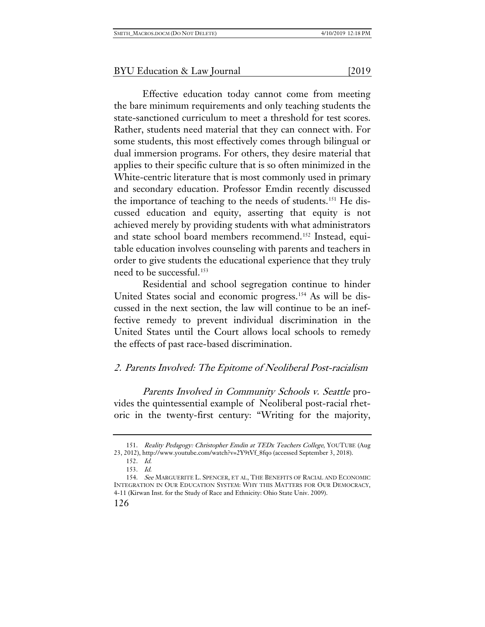Effective education today cannot come from meeting the bare minimum requirements and only teaching students the state-sanctioned curriculum to meet a threshold for test scores. Rather, students need material that they can connect with. For some students, this most effectively comes through bilingual or dual immersion programs. For others, they desire material that applies to their specific culture that is so often minimized in the White-centric literature that is most commonly used in primary and secondary education. Professor Emdin recently discussed the importance of teaching to the needs of students.<sup>[151](#page-32-0)</sup> He discussed education and equity, asserting that equity is not achieved merely by providing students with what administrators and state school board members recommend.<sup>[152](#page-32-1)</sup> Instead, equitable education involves counseling with parents and teachers in order to give students the educational experience that they truly need to be successful.[153](#page-32-2)

Residential and school segregation continue to hinder United States social and economic progress.[154](#page-32-3) As will be discussed in the next section, the law will continue to be an ineffective remedy to prevent individual discrimination in the United States until the Court allows local schools to remedy the effects of past race-based discrimination.

## 2. Parents Involved: The Epitome of Neoliberal Post-racialism

Parents Involved in Community Schools v. Seattle provides the quintessential example of Neoliberal post-racial rhetoric in the twenty-first century: "Writing for the majority,

<span id="page-32-0"></span><sup>151.</sup> Reality Pedagogy: Christopher Emdin at TEDx Teachers College, YOUTUBE (Aug 23, 2012), http://www.youtube.com/watch?v=2Y9tVf\_8fqo (accessed September 3, 2018).

<sup>152.</sup> Id.

<sup>153.</sup> Id.

<span id="page-32-3"></span><span id="page-32-2"></span><span id="page-32-1"></span><sup>154.</sup> See MARGUERITE L. SPENCER, ET AL, THE BENEFITS OF RACIAL AND ECONOMIC INTEGRATION IN OUR EDUCATION SYSTEM: WHY THIS MATTERS FOR OUR DEMOCRACY, 4-11 (Kirwan Inst. for the Study of Race and Ethnicity: Ohio State Univ. 2009).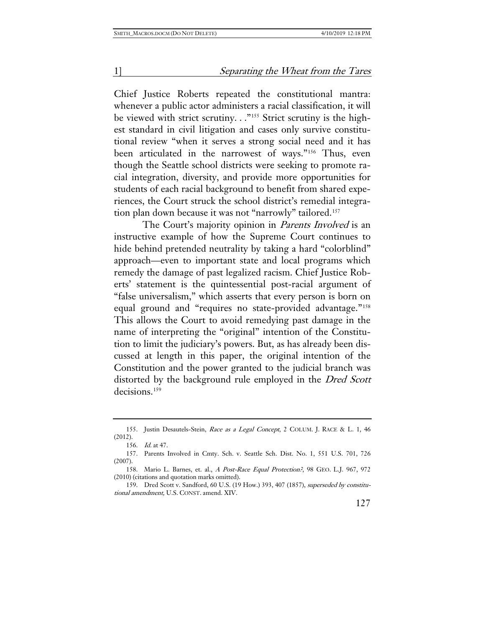Chief Justice Roberts repeated the constitutional mantra: whenever a public actor administers a racial classification, it will be viewed with strict scrutiny. . ."<sup>[155](#page-33-0)</sup> Strict scrutiny is the highest standard in civil litigation and cases only survive constitutional review "when it serves a strong social need and it has been articulated in the narrowest of ways."[156](#page-33-1) Thus, even though the Seattle school districts were seeking to promote racial integration, diversity, and provide more opportunities for students of each racial background to benefit from shared experiences, the Court struck the school district's remedial integra-tion plan down because it was not "narrowly" tailored.<sup>[157](#page-33-2)</sup>

The Court's majority opinion in *Parents Involved* is an instructive example of how the Supreme Court continues to hide behind pretended neutrality by taking a hard "colorblind" approach—even to important state and local programs which remedy the damage of past legalized racism. Chief Justice Roberts' statement is the quintessential post-racial argument of "false universalism," which asserts that every person is born on equal ground and "requires no state-provided advantage."[158](#page-33-3) This allows the Court to avoid remedying past damage in the name of interpreting the "original" intention of the Constitution to limit the judiciary's powers. But, as has already been discussed at length in this paper, the original intention of the Constitution and the power granted to the judicial branch was distorted by the background rule employed in the Dred Scott decisions.[159](#page-33-4)

<span id="page-33-0"></span><sup>155.</sup> Justin Desautels-Stein, Race as a Legal Concept, 2 COLUM. J. RACE & L. 1, 46 (2012).

<sup>156.</sup> Id. at 47.

<span id="page-33-2"></span><span id="page-33-1"></span><sup>157.</sup> Parents Involved in Cmty. Sch. v. Seattle Sch. Dist. No. 1, 551 U.S. 701, 726 (2007).

<span id="page-33-3"></span><sup>158.</sup> Mario L. Barnes, et. al., A Post-Race Equal Protection?, 98 GEO. L.J. 967, 972 (2010) (citations and quotation marks omitted).

<span id="page-33-4"></span><sup>159.</sup> Dred Scott v. Sandford, 60 U.S. (19 How.) 393, 407 (1857), superseded by constitutional amendment, U.S. CONST. amend. XIV.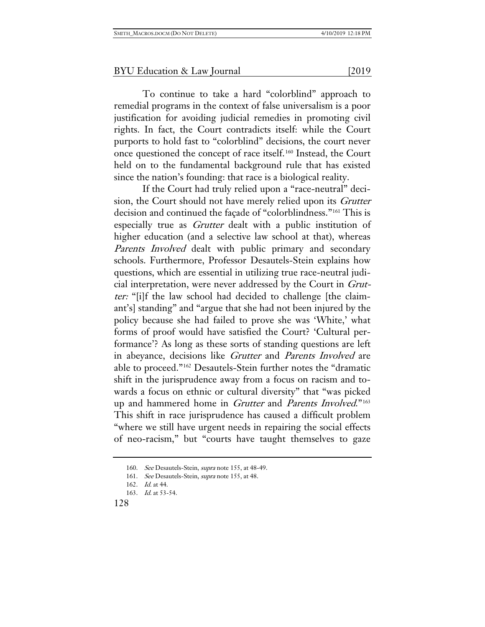To continue to take a hard "colorblind" approach to remedial programs in the context of false universalism is a poor justification for avoiding judicial remedies in promoting civil rights. In fact, the Court contradicts itself: while the Court purports to hold fast to "colorblind" decisions, the court never once questioned the concept of race itself.[160](#page-34-0) Instead, the Court held on to the fundamental background rule that has existed since the nation's founding: that race is a biological reality.

If the Court had truly relied upon a "race-neutral" decision, the Court should not have merely relied upon its Grutter decision and continued the façade of "colorblindness."[161](#page-34-1) This is especially true as Grutter dealt with a public institution of higher education (and a selective law school at that), whereas Parents Involved dealt with public primary and secondary schools. Furthermore, Professor Desautels-Stein explains how questions, which are essential in utilizing true race-neutral judicial interpretation, were never addressed by the Court in Grutter: "[i]f the law school had decided to challenge [the claimant's] standing" and "argue that she had not been injured by the policy because she had failed to prove she was 'White,' what forms of proof would have satisfied the Court? 'Cultural performance'? As long as these sorts of standing questions are left in abeyance, decisions like Grutter and Parents Involved are able to proceed."[162](#page-34-2) Desautels-Stein further notes the "dramatic shift in the jurisprudence away from a focus on racism and towards a focus on ethnic or cultural diversity" that "was picked up and hammered home in Grutter and Parents Involved."[163](#page-34-3) This shift in race jurisprudence has caused a difficult problem "where we still have urgent needs in repairing the social effects of neo-racism," but "courts have taught themselves to gaze

<span id="page-34-0"></span><sup>160.</sup> See Desautels-Stein, *supra* note 155, at 48-49.

<sup>161.</sup> See Desautels-Stein, supra note 155, at 48.

<sup>162.</sup> Id. at 44.

<span id="page-34-3"></span><span id="page-34-2"></span><span id="page-34-1"></span><sup>163.</sup> Id. at 53-54.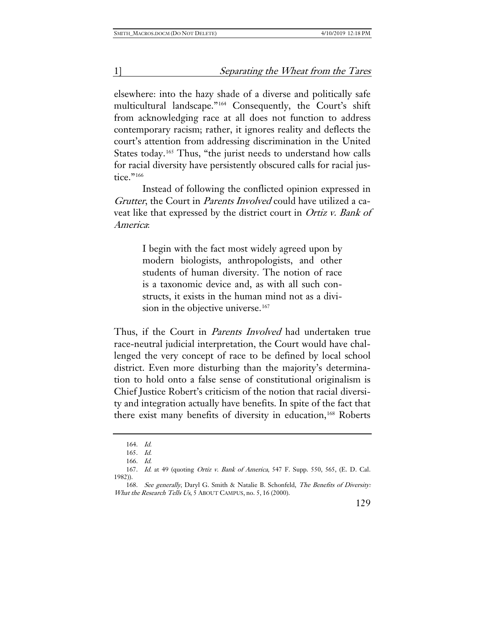elsewhere: into the hazy shade of a diverse and politically safe multicultural landscape."[164](#page-35-0) Consequently, the Court's shift from acknowledging race at all does not function to address contemporary racism; rather, it ignores reality and deflects the court's attention from addressing discrimination in the United States today.<sup>[165](#page-35-1)</sup> Thus, "the jurist needs to understand how calls for racial diversity have persistently obscured calls for racial justice."[166](#page-35-2)

Instead of following the conflicted opinion expressed in Grutter, the Court in Parents Involved could have utilized a caveat like that expressed by the district court in Ortiz v. Bank of America:

> I begin with the fact most widely agreed upon by modern biologists, anthropologists, and other students of human diversity. The notion of race is a taxonomic device and, as with all such constructs, it exists in the human mind not as a divi-sion in the objective universe.<sup>[167](#page-35-3)</sup>

Thus, if the Court in *Parents Involved* had undertaken true race-neutral judicial interpretation, the Court would have challenged the very concept of race to be defined by local school district. Even more disturbing than the majority's determination to hold onto a false sense of constitutional originalism is Chief Justice Robert's criticism of the notion that racial diversity and integration actually have benefits. In spite of the fact that there exist many benefits of diversity in education,<sup>[168](#page-35-4)</sup> Roberts

<sup>164.</sup> Id.

<sup>165.</sup> Id.

<sup>166.</sup> Id.

<span id="page-35-3"></span><span id="page-35-2"></span><span id="page-35-1"></span><span id="page-35-0"></span><sup>167.</sup> Id. at 49 (quoting Ortiz v. Bank of America[, 547 F. Supp. 550, 565, \(E. D. Cal.](https://advance.lexis.com/api/document/collection/cases/id/3S4N-9Y30-0039-S3V6-00000-00?page=565&reporter=1103&cite=547%20F.%20Supp.%20550&context=1000516)  [1982\)\).](https://advance.lexis.com/api/document/collection/cases/id/3S4N-9Y30-0039-S3V6-00000-00?page=565&reporter=1103&cite=547%20F.%20Supp.%20550&context=1000516) 

<span id="page-35-4"></span><sup>168.</sup> See generally, Daryl G. Smith & Natalie B. Schonfeld, The Benefits of Diversity: What the Research Tells Us, 5 ABOUT CAMPUS, no. 5, 16 (2000).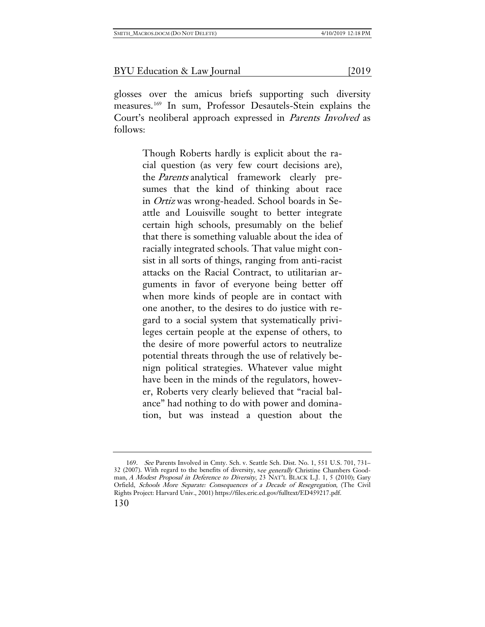glosses over the amicus briefs supporting such diversity measures.[169](#page-36-0) In sum, Professor Desautels-Stein explains the Court's neoliberal approach expressed in Parents Involved as follows:

> Though Roberts hardly is explicit about the racial question (as very few court decisions are), the Parents analytical framework clearly presumes that the kind of thinking about race in Ortiz was wrong-headed. School boards in Seattle and Louisville sought to better integrate certain high schools, presumably on the belief that there is something valuable about the idea of racially integrated schools. That value might consist in all sorts of things, ranging from anti-racist attacks on the Racial Contract, to utilitarian arguments in favor of everyone being better off when more kinds of people are in contact with one another, to the desires to do justice with regard to a social system that systematically privileges certain people at the expense of others, to the desire of more powerful actors to neutralize potential threats through the use of relatively benign political strategies. Whatever value might have been in the minds of the regulators, however, Roberts very clearly believed that "racial balance" had nothing to do with power and domination, but was instead a question about the

<span id="page-36-0"></span><sup>169.</sup> See Parents Involved in Cmty. Sch. v. Seattle Sch. Dist. No. 1, 551 U.S. 701, 731– 32 (2007). With regard to the benefits of diversity, see generally Christine Chambers Goodman, A Modest Proposal in Deference to Diversity, 23 NAT'L BLACK L.J. 1, 5 (2010); Gary Orfield, Schools More Separate: Consequences of a Decade of Resegregation, (The Civil Rights Project: Harvard Univ., 2001) https://files.eric.ed.gov/fulltext/ED459217.pdf.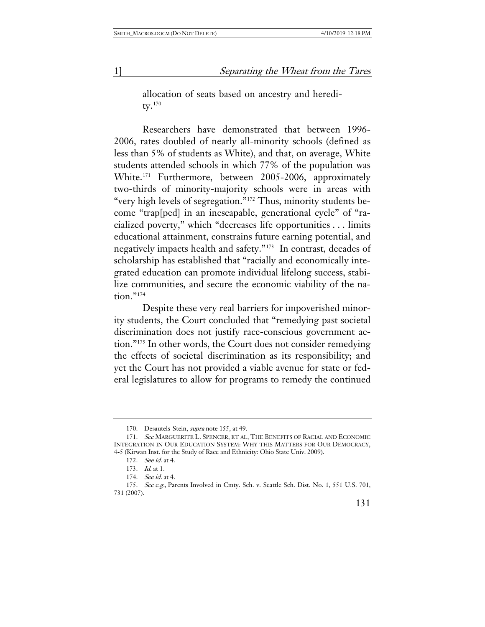allocation of seats based on ancestry and hereditv. $170$ 

Researchers have demonstrated that between 1996- 2006, rates doubled of nearly all-minority schools (defined as less than 5% of students as White), and that, on average, White students attended schools in which 77% of the population was White.[171](#page-37-1) Furthermore, between 2005-2006, approximately two-thirds of minority-majority schools were in areas with "very high levels of segregation."[172](#page-37-2) Thus, minority students become "trap[ped] in an inescapable, generational cycle" of "racialized poverty," which "decreases life opportunities . . . limits educational attainment, constrains future earning potential, and negatively impacts health and safety."[173](#page-37-3) In contrast, decades of scholarship has established that "racially and economically integrated education can promote individual lifelong success, stabilize communities, and secure the economic viability of the nation."[174](#page-37-4)

Despite these very real barriers for impoverished minority students, the Court concluded that "remedying past societal discrimination does not justify race-conscious government action."[175](#page-37-5) In other words, the Court does not consider remedying the effects of societal discrimination as its responsibility; and yet the Court has not provided a viable avenue for state or federal legislatures to allow for programs to remedy the continued

174. See id. at 4.

<sup>170.</sup> Desautels-Stein, *supra* note 155, at 49.

<span id="page-37-2"></span><span id="page-37-1"></span><span id="page-37-0"></span><sup>171.</sup> See MARGUERITE L. SPENCER, ET AL, THE BENEFITS OF RACIAL AND ECONOMIC INTEGRATION IN OUR EDUCATION SYSTEM: WHY THIS MATTERS FOR OUR DEMOCRACY, 4-5 (Kirwan Inst. for the Study of Race and Ethnicity: Ohio State Univ. 2009).

<sup>172.</sup> See id. at 4.

<sup>173.</sup> Id. at 1.

<span id="page-37-5"></span><span id="page-37-4"></span><span id="page-37-3"></span><sup>175.</sup> See e.g., Parents Involved in Cmty. Sch. v. Seattle Sch. Dist. No. 1, 551 U.S. 701, 731 (2007).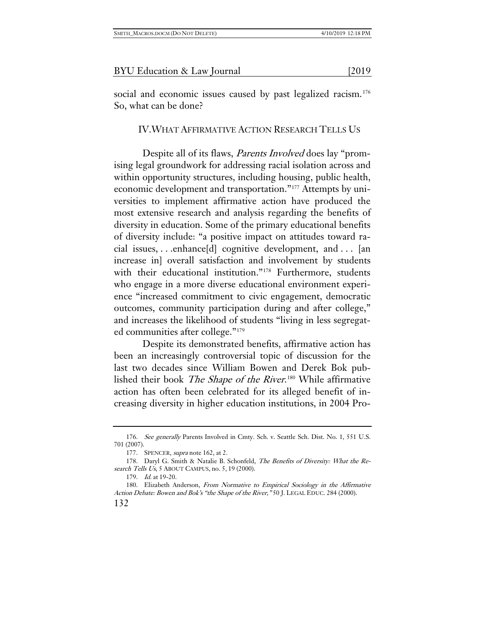social and economic issues caused by past legalized racism.<sup>[176](#page-38-0)</sup> So, what can be done?

IV.WHAT AFFIRMATIVE ACTION RESEARCH TELLS US

Despite all of its flaws, *Parents Involved* does lay "promising legal groundwork for addressing racial isolation across and within opportunity structures, including housing, public health, economic development and transportation."[177](#page-38-1) Attempts by universities to implement affirmative action have produced the most extensive research and analysis regarding the benefits of diversity in education. Some of the primary educational benefits of diversity include: "a positive impact on attitudes toward racial issues, . . .enhance[d] cognitive development, and . . . [an increase in] overall satisfaction and involvement by students with their educational institution."<sup>[178](#page-38-2)</sup> Furthermore, students who engage in a more diverse educational environment experience "increased commitment to civic engagement, democratic outcomes, community participation during and after college," and increases the likelihood of students "living in less segregated communities after college."[179](#page-38-3)

Despite its demonstrated benefits, affirmative action has been an increasingly controversial topic of discussion for the last two decades since William Bowen and Derek Bok published their book *The Shape of the River*.<sup>[180](#page-38-4)</sup> While affirmative action has often been celebrated for its alleged benefit of increasing diversity in higher education institutions, in 2004 Pro-

<span id="page-38-0"></span><sup>176.</sup> See generally Parents Involved in Cmty. Sch. v. Seattle Sch. Dist. No. 1, 551 U.S. 701 (2007).

<sup>177.</sup> SPENCER, *supra* note 162, at 2.

<span id="page-38-2"></span><span id="page-38-1"></span><sup>178.</sup> Daryl G. Smith & Natalie B. Schonfeld, The Benefits of Diversity: What the Research Tells Us, 5 ABOUT CAMPUS, no. 5, 19 (2000).

<sup>179.</sup> Id. at 19-20.

<span id="page-38-4"></span><span id="page-38-3"></span><sup>180.</sup> Elizabeth Anderson, From Normative to Empirical Sociology in the Affirmative Action Debate: Bowen and Bok's "the Shape of the River," 50 J. LEGAL EDUC. 284 (2000).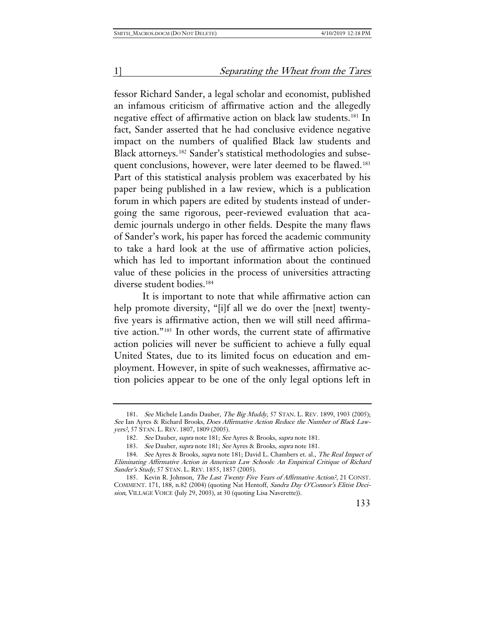fessor Richard Sander, a legal scholar and economist, published an infamous criticism of affirmative action and the allegedly negative effect of affirmative action on black law students.[181](#page-39-0) In fact, Sander asserted that he had conclusive evidence negative impact on the numbers of qualified Black law students and Black attorneys.[182](#page-39-1) Sander's statistical methodologies and subse-quent conclusions, however, were later deemed to be flawed.<sup>[183](#page-39-2)</sup> Part of this statistical analysis problem was exacerbated by his paper being published in a law review, which is a publication forum in which papers are edited by students instead of undergoing the same rigorous, peer-reviewed evaluation that academic journals undergo in other fields. Despite the many flaws of Sander's work, his paper has forced the academic community to take a hard look at the use of affirmative action policies, which has led to important information about the continued value of these policies in the process of universities attracting diverse student bodies.<sup>[184](#page-39-3)</sup>

It is important to note that while affirmative action can help promote diversity, "[i]f all we do over the [next] twentyfive years is affirmative action, then we will still need affirmative action."[185](#page-39-4) In other words, the current state of affirmative action policies will never be sufficient to achieve a fully equal United States, due to its limited focus on education and employment. However, in spite of such weaknesses, affirmative action policies appear to be one of the only legal options left in

<span id="page-39-0"></span><sup>181.</sup> See Michele Landis Dauber, The Big Muddy, 57 STAN. L. REV. 1899, 1903 (2005); See Ian Ayres & Richard Brooks, Does Affirmative Action Reduce the Number of Black Lawyers?, 57 STAN. L. REV. 1807, 1809 (2005).

<sup>182.</sup> See Dauber, supra note 181; See Ayres & Brooks, supra note 181.

<sup>183.</sup> See Dauber, supra note 181; See Ayres & Brooks, supra note 181.

<span id="page-39-3"></span><span id="page-39-2"></span><span id="page-39-1"></span><sup>184.</sup> See Ayres & Brooks, supra note 181; David L. Chambers et. al., The Real Impact of Eliminating Affirmative Action in American Law Schools: An Empirical Critique of Richard Sander's Study, 57 STAN. L. REV. 1855, 1857 (2005).

<span id="page-39-4"></span><sup>185.</sup> Kevin R. Johnson, The Las[t Twenty Five Years of Affirmative Action?](https://1.next.westlaw.com/Link/Document/FullText?findType=Y&serNum=0303013701&pubNum=100699&originatingDoc=I42fcd2e1a44811df9b8c850332338889&refType=LR&fi=co_pp_sp_100699_188&originationContext=document&transitionType=DocumentItem&contextData=(sc.History*oc.Keycite)#co_pp_sp_100699_188), 21 CONST. [COMMENT. 171, 188, n.82 \(2004\)](https://1.next.westlaw.com/Link/Document/FullText?findType=Y&serNum=0303013701&pubNum=100699&originatingDoc=I42fcd2e1a44811df9b8c850332338889&refType=LR&fi=co_pp_sp_100699_188&originationContext=document&transitionType=DocumentItem&contextData=(sc.History*oc.Keycite)#co_pp_sp_100699_188) (quoting Nat Hentoff, Sandra Day O'Connor's Elitist Decision, VILLAGE VOICE (July 29, 2003), at 30 (quoting Lisa Naverette)).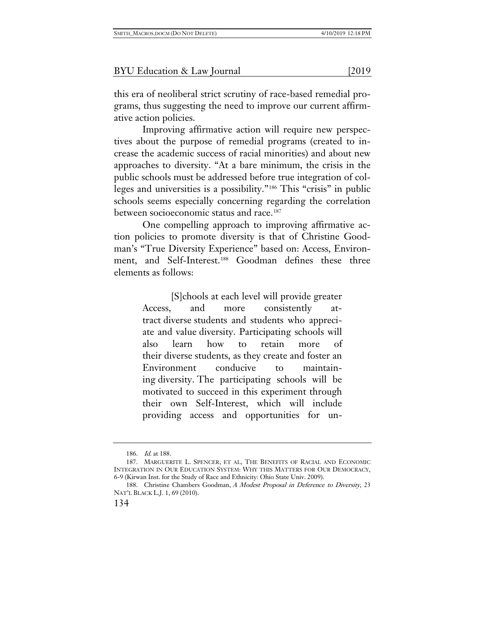this era of neoliberal strict scrutiny of race-based remedial programs, thus suggesting the need to improve our current affirmative action policies.

Improving affirmative action will require new perspectives about the purpose of remedial programs (created to increase the academic success of racial minorities) and about new approaches to diversity. "At a bare minimum, the crisis in the public schools must be addressed before true integration of colleges and universities is a possibility."[186](#page-40-0) This "crisis" in public schools seems especially concerning regarding the correlation between socioeconomic status and race.<sup>[187](#page-40-1)</sup>

One compelling approach to improving affirmative action policies to promote diversity is that of Christine Goodman's "True Diversity Experience" based on: Access, Environ-ment, and Self-Interest.<sup>[188](#page-40-2)</sup> Goodman defines these three elements as follows:

> [S]chools at each level will provide greater Access, and more consistently attract diverse students and students who appreciate and value diversity. Participating schools will also learn how to retain more of their diverse students, as they create and foster an Environment conducive to maintaining diversity. The participating schools will be motivated to succeed in this experiment through their own Self-Interest, which will include providing access and opportunities for un-

<sup>186.</sup> Id. at 188.

<span id="page-40-1"></span><span id="page-40-0"></span><sup>187.</sup> MARGUERITE L. SPENCER, ET AL, THE BENEFITS OF RACIAL AND ECONOMIC INTEGRATION IN OUR EDUCATION SYSTEM: WHY THIS MATTERS FOR OUR DEMOCRACY, 6-9 (Kirwan Inst. for the Study of Race and Ethnicity: Ohio State Univ. 2009).

<span id="page-40-2"></span><sup>188.</sup> Christine Chambers Goodman, A Modest Proposal in Deference to Diversity, 23 NAT'L BLACK L.J. 1, 69 (2010).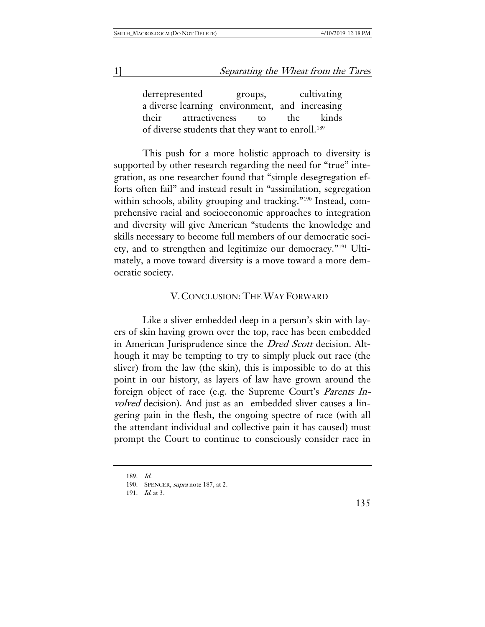derrepresented groups, cultivating a diverse learning environment, and increasing their attractiveness to the kinds of diverse students that they want to enroll.<sup>[189](#page-41-0)</sup>

This push for a more holistic approach to diversity is supported by other research regarding the need for "true" integration, as one researcher found that "simple desegregation efforts often fail" and instead result in "assimilation, segregation within schools, ability grouping and tracking."<sup>[190](#page-41-1)</sup> Instead, comprehensive racial and socioeconomic approaches to integration and diversity will give American "students the knowledge and skills necessary to become full members of our democratic society, and to strengthen and legitimize our democracy."[191](#page-41-2) Ultimately, a move toward diversity is a move toward a more democratic society.

## V.CONCLUSION: THE WAY FORWARD

Like a sliver embedded deep in a person's skin with layers of skin having grown over the top, race has been embedded in American Jurisprudence since the *Dred Scott* decision. Although it may be tempting to try to simply pluck out race (the sliver) from the law (the skin), this is impossible to do at this point in our history, as layers of law have grown around the foreign object of race (e.g. the Supreme Court's Parents Involved decision). And just as an embedded sliver causes a lingering pain in the flesh, the ongoing spectre of race (with all the attendant individual and collective pain it has caused) must prompt the Court to continue to consciously consider race in

<span id="page-41-0"></span><sup>189.</sup> Id.

<sup>190.</sup> SPENCER, supra note 187, at 2.

<span id="page-41-2"></span><span id="page-41-1"></span><sup>191.</sup> Id. at 3.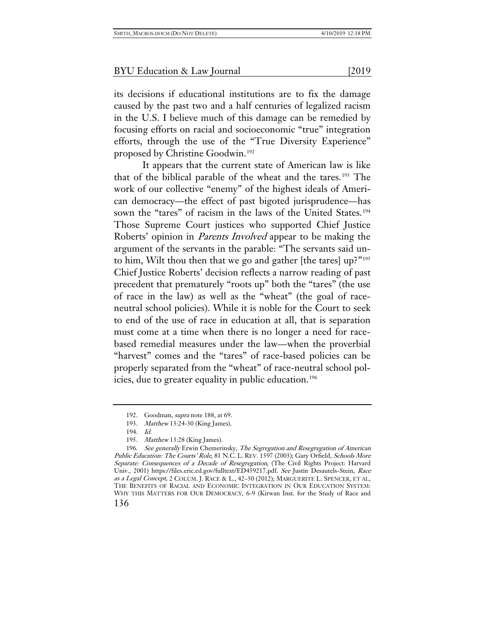its decisions if educational institutions are to fix the damage caused by the past two and a half centuries of legalized racism in the U.S. I believe much of this damage can be remedied by focusing efforts on racial and socioeconomic "true" integration efforts, through the use of the "True Diversity Experience" proposed by Christine Goodwin.[192](#page-42-0)

It appears that the current state of American law is like that of the biblical parable of the wheat and the tares.[193](#page-42-1) The work of our collective "enemy" of the highest ideals of American democracy—the effect of past bigoted jurisprudence—has sown the "tares" of racism in the laws of the United States.<sup>[194](#page-42-2)</sup> Those Supreme Court justices who supported Chief Justice Roberts' opinion in Parents Involved appear to be making the argument of the servants in the parable: "The servants said unto him, Wilt thou then that we go and gather [the tares] up?"[195](#page-42-3) Chief Justice Roberts' decision reflects a narrow reading of past precedent that prematurely "roots up" both the "tares" (the use of race in the law) as well as the "wheat" (the goal of raceneutral school policies). While it is noble for the Court to seek to end of the use of race in education at all, that is separation must come at a time when there is no longer a need for racebased remedial measures under the law—when the proverbial "harvest" comes and the "tares" of race-based policies can be properly separated from the "wheat" of race-neutral school pol-icies, due to greater equality in public education.<sup>[196](#page-42-4)</sup>

<sup>192.</sup> Goodman, supra note 188, at 69.

<sup>193.</sup> Matthew 13:24-30 (King James).

<sup>194.</sup> Id.

<sup>195.</sup> Matthew 13:28 (King James).

<span id="page-42-4"></span><span id="page-42-3"></span><span id="page-42-2"></span><span id="page-42-1"></span><span id="page-42-0"></span><sup>196.</sup> See generally Erwin Chemerinsky, The Segregation and Resegregation of American Public Education: The Courts' Role, 81 N.C. L. REV. 1597 (2003); Gary Orfield, Schools More Separate: Consequences of a Decade of Resegregation, (The Civil Rights Project: Harvard Univ., 2001) https://files.eric.ed.gov/fulltext/ED459217.pdf. See Justin Desautels-Stein, Race as a Legal Concept, 2 COLUM. J. RACE & L., 42–50 (2012); MARGUERITE L. SPENCER, ET AL, THE BENEFITS OF RACIAL AND ECONOMIC INTEGRATION IN OUR EDUCATION SYSTEM: WHY THIS MATTERS FOR OUR DEMOCRACY, 6-9 (Kirwan Inst. for the Study of Race and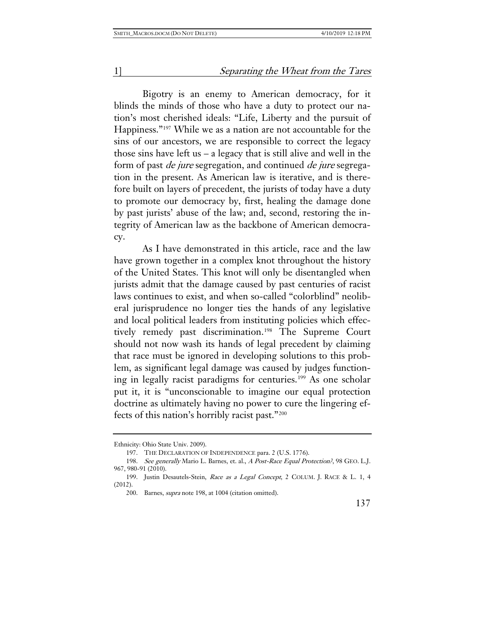Bigotry is an enemy to American democracy, for it blinds the minds of those who have a duty to protect our nation's most cherished ideals: "Life, Liberty and the pursuit of Happiness."[197](#page-43-0) While we as a nation are not accountable for the sins of our ancestors, we are responsible to correct the legacy those sins have left us  $-$  a legacy that is still alive and well in the form of past de jure segregation, and continued de jure segregation in the present. As American law is iterative, and is therefore built on layers of precedent, the jurists of today have a duty to promote our democracy by, first, healing the damage done by past jurists' abuse of the law; and, second, restoring the integrity of American law as the backbone of American democracy.

As I have demonstrated in this article, race and the law have grown together in a complex knot throughout the history of the United States. This knot will only be disentangled when jurists admit that the damage caused by past centuries of racist laws continues to exist, and when so-called "colorblind" neoliberal jurisprudence no longer ties the hands of any legislative and local political leaders from instituting policies which effectively remedy past discrimination.[198](#page-43-1) The Supreme Court should not now wash its hands of legal precedent by claiming that race must be ignored in developing solutions to this problem, as significant legal damage was caused by judges function-ing in legally racist paradigms for centuries.<sup>[199](#page-43-2)</sup> As one scholar put it, it is "unconscionable to imagine our equal protection doctrine as ultimately having no power to cure the lingering effects of this nation's horribly racist past."[200](#page-43-3)

<span id="page-43-0"></span>Ethnicity: Ohio State Univ. 2009).

<sup>197.</sup> THE DECLARATION OF INDEPENDENCE para. 2 (U.S. 1776).

<span id="page-43-1"></span><sup>198.</sup> See generally Mario L. Barnes, et. al., A Post-Race Equal Protection?, 98 GEO. L.J. 967, 980-91 (2010).

<span id="page-43-3"></span><span id="page-43-2"></span><sup>199.</sup> Justin Desautels-Stein, Race as a Legal Concept, 2 COLUM. J. RACE & L. 1, 4 (2012).

<sup>200.</sup> Barnes, supra note 198, at 1004 (citation omitted).